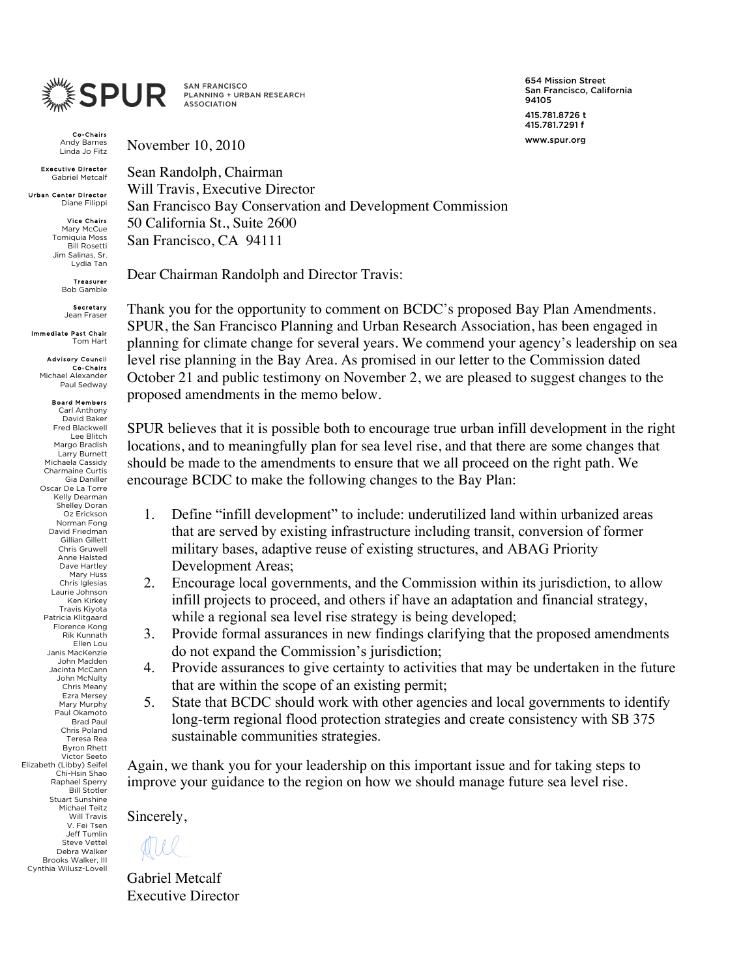

**SAN FRANCISCO** PLANNING + URBAN RESEARCH **ASSOCIATION** 

Co-Chairs Andy Barnes Linda Jo Fitz

November 10, 2010

Executive Director Gabriel Metcalf

Urban Center Director Diane Filippi

> Vice Chairs Mary McCue Tomiquia Moss Bill Rosetti Jim Salinas, Sr. Lydia Tan

> > Treasurer Bob Gamble

Secretary Jean Frase

Immediate Past Chair Tom Hart

> Advisory Council **Co-Chairs**<br>Michael Alexander Paul Sedway

Board Members Carl Anthony David Baker Fred Blackwell Lee Blitch Margo Bradish Larry Burnett Michaela Cassidy Charmaine Curtis Gia Daniller Oscar De La Torre Kelly Dearman Shelley Doran Oz Erickson Norman Fong David Friedman Gillian Gillett Chris Gruwell Anne Halsted Dave Hartley Mary Huss Chris Iglesias Laurie Johnson Ken Kirkey Travis Kiyota Patricia Klitgaard Florence Kong Rik Kunnath Ellen Lou Janis MacKenzie John Madden Jacinta McCann John McNulty Chris Meany Ezra Mersey Mary Murphy Paul Okamoto Brad Paul Chris Poland Teresa Rea Byron Rhett Victor Seeto Elizabeth (Libby) Seifel Chi-Hsin Shao Raphael Sperry Bill Stotler Stuart Sunshine Michael Teitz Will Travis V. Fei Tsen Jeff Tumlin Steve Vettel Debra Walker Brooks Walker, III Cynthia Wilusz-Lovell

654 Mission Street San Francisco, California 94105 415.781.8726 t 415.781.7291 f www.spur.org

Sean Randolph, Chairman Will Travis, Executive Director San Francisco Bay Conservation and Development Commission 50 California St., Suite 2600 San Francisco, CA 94111

Dear Chairman Randolph and Director Travis:

Thank you for the opportunity to comment on BCDC's proposed Bay Plan Amendments. SPUR, the San Francisco Planning and Urban Research Association, has been engaged in planning for climate change for several years. We commend your agency's leadership on sea level rise planning in the Bay Area. As promised in our letter to the Commission dated October 21 and public testimony on November 2, we are pleased to suggest changes to the proposed amendments in the memo below.

SPUR believes that it is possible both to encourage true urban infill development in the right locations, and to meaningfully plan for sea level rise, and that there are some changes that should be made to the amendments to ensure that we all proceed on the right path. We encourage BCDC to make the following changes to the Bay Plan:

- 1. Define "infill development" to include: underutilized land within urbanized areas that are served by existing infrastructure including transit, conversion of former military bases, adaptive reuse of existing structures, and ABAG Priority Development Areas;
- 2. Encourage local governments, and the Commission within its jurisdiction, to allow infill projects to proceed, and others if have an adaptation and financial strategy, while a regional sea level rise strategy is being developed;
- 3. Provide formal assurances in new findings clarifying that the proposed amendments do not expand the Commission's jurisdiction;
- 4. Provide assurances to give certainty to activities that may be undertaken in the future that are within the scope of an existing permit;
- 5. State that BCDC should work with other agencies and local governments to identify long-term regional flood protection strategies and create consistency with SB 375 sustainable communities strategies.

Again, we thank you for your leadership on this important issue and for taking steps to improve your guidance to the region on how we should manage future sea level rise.

Sincerely,

dul

Gabriel Metcalf Executive Director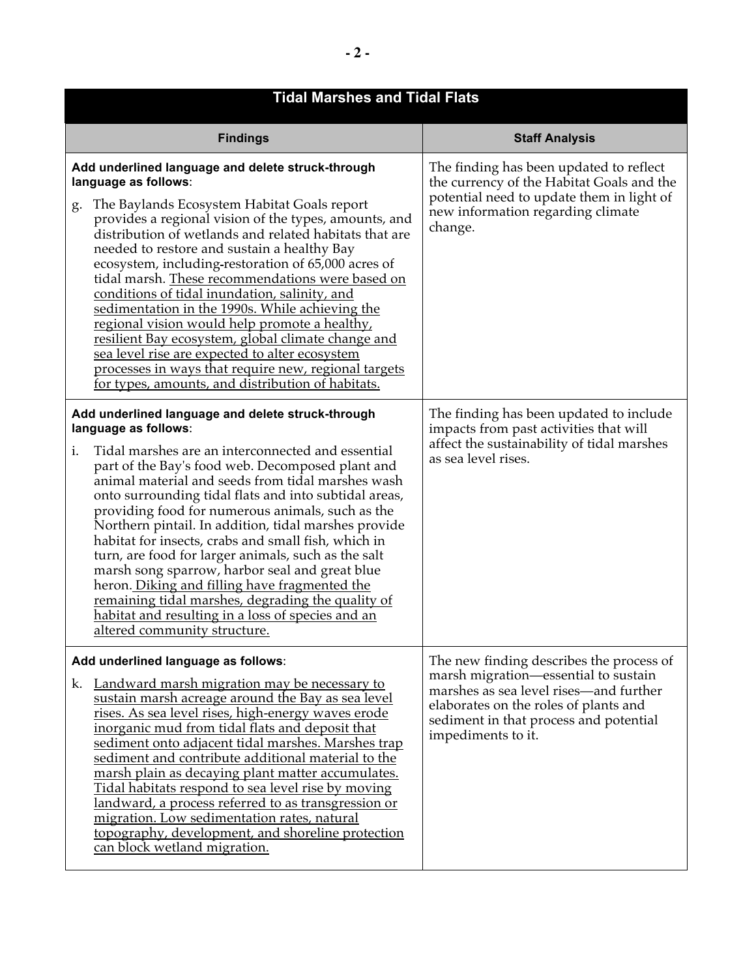| <b>Tidal Marshes and Tidal Flats</b>                                                                                                                                                                                                                                                                                                                                                                                                                                                                                                                                                                                                                                                                                                                                                  |                                                                                                                                                                                                                                     |  |
|---------------------------------------------------------------------------------------------------------------------------------------------------------------------------------------------------------------------------------------------------------------------------------------------------------------------------------------------------------------------------------------------------------------------------------------------------------------------------------------------------------------------------------------------------------------------------------------------------------------------------------------------------------------------------------------------------------------------------------------------------------------------------------------|-------------------------------------------------------------------------------------------------------------------------------------------------------------------------------------------------------------------------------------|--|
| <b>Findings</b>                                                                                                                                                                                                                                                                                                                                                                                                                                                                                                                                                                                                                                                                                                                                                                       | <b>Staff Analysis</b>                                                                                                                                                                                                               |  |
| Add underlined language and delete struck-through<br>language as follows:<br>The Baylands Ecosystem Habitat Goals report<br>g.<br>provides a regional vision of the types, amounts, and<br>distribution of wetlands and related habitats that are<br>needed to restore and sustain a healthy Bay<br>ecosystem, including-restoration of 65,000 acres of<br>tidal marsh. These recommendations were based on<br>conditions of tidal inundation, salinity, and<br>sedimentation in the 1990s. While achieving the<br>regional vision would help promote a healthy,<br>resilient Bay ecosystem, global climate change and<br>sea level rise are expected to alter ecosystem<br>processes in ways that require new, regional targets<br>for types, amounts, and distribution of habitats. | The finding has been updated to reflect<br>the currency of the Habitat Goals and the<br>potential need to update them in light of<br>new information regarding climate<br>change.                                                   |  |
| Add underlined language and delete struck-through<br>language as follows:<br>Tidal marshes are an interconnected and essential<br>i.<br>part of the Bay's food web. Decomposed plant and<br>animal material and seeds from tidal marshes wash<br>onto surrounding tidal flats and into subtidal areas,<br>providing food for numerous animals, such as the<br>Northern pintail. In addition, tidal marshes provide<br>habitat for insects, crabs and small fish, which in<br>turn, are food for larger animals, such as the salt<br>marsh song sparrow, harbor seal and great blue<br>heron. Diking and filling have fragmented the<br>remaining tidal marshes, degrading the quality of<br>habitat and resulting in a loss of species and an<br>altered community structure.         | The finding has been updated to include<br>impacts from past activities that will<br>affect the sustainability of tidal marshes<br>as sea level rises.                                                                              |  |
| Add underlined language as follows:<br>Landward marsh migration may be necessary to<br>k.<br>sustain marsh acreage around the Bay as sea level<br>rises. As sea level rises, high-energy waves erode<br>inorganic mud from tidal flats and deposit that<br>sediment onto adjacent tidal marshes. Marshes trap<br>sediment and contribute additional material to the<br>marsh plain as decaying plant matter accumulates.<br>Tidal habitats respond to sea level rise by moving<br>landward, a process referred to as transgression or<br>migration. Low sedimentation rates, natural<br>topography, development, and shoreline protection<br>can block wetland migration.                                                                                                             | The new finding describes the process of<br>marsh migration—essential to sustain<br>marshes as sea level rises—and further<br>elaborates on the roles of plants and<br>sediment in that process and potential<br>impediments to it. |  |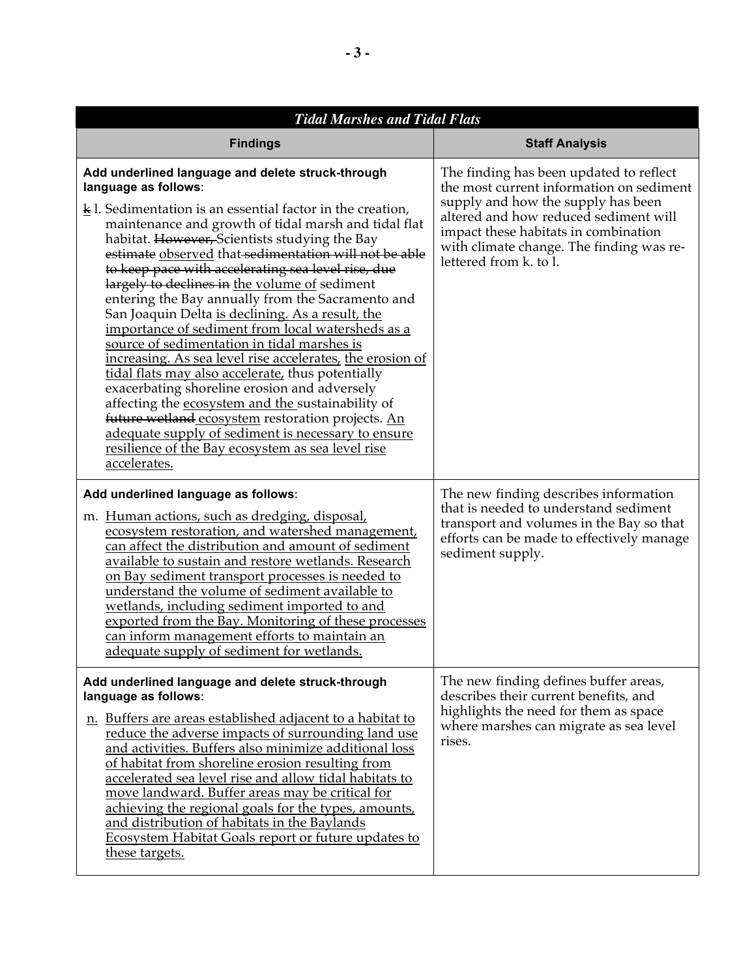| <b>Tidal Marshes and Tidal Flats</b>                                                                                                                                                                                                                                                                                                                                                                                                                                                                                                                                                                                                                                                                                                                                                                                                                                                                                                                                                                                                               |                                                                                                                                                                                                                                                                                  |  |
|----------------------------------------------------------------------------------------------------------------------------------------------------------------------------------------------------------------------------------------------------------------------------------------------------------------------------------------------------------------------------------------------------------------------------------------------------------------------------------------------------------------------------------------------------------------------------------------------------------------------------------------------------------------------------------------------------------------------------------------------------------------------------------------------------------------------------------------------------------------------------------------------------------------------------------------------------------------------------------------------------------------------------------------------------|----------------------------------------------------------------------------------------------------------------------------------------------------------------------------------------------------------------------------------------------------------------------------------|--|
| <b>Findings</b>                                                                                                                                                                                                                                                                                                                                                                                                                                                                                                                                                                                                                                                                                                                                                                                                                                                                                                                                                                                                                                    | <b>Staff Analysis</b>                                                                                                                                                                                                                                                            |  |
| Add underlined language and delete struck-through<br>language as follows:<br>$\underline{k}$ l. Sedimentation is an essential factor in the creation,<br>maintenance and growth of tidal marsh and tidal flat<br>habitat. However, Scientists studying the Bay<br>estimate observed that sedimentation will not be able<br>to keep pace with accelerating sea level rise, due<br>largely to declines in the volume of sediment<br>entering the Bay annually from the Sacramento and<br>San Joaquin Delta is declining. As a result, the<br>importance of sediment from local watersheds as a<br>source of sedimentation in tidal marshes is<br>increasing. As sea level rise accelerates, the erosion of<br>tidal flats may also accelerate, thus potentially<br>exacerbating shoreline erosion and adversely<br>affecting the ecosystem and the sustainability of<br>future wetland ecosystem restoration projects. An<br>adequate supply of sediment is necessary to ensure<br>resilience of the Bay ecosystem as sea level rise<br>accelerates. | The finding has been updated to reflect<br>the most current information on sediment<br>supply and how the supply has been<br>altered and how reduced sediment will<br>impact these habitats in combination<br>with climate change. The finding was re-<br>lettered from k. to l. |  |
| Add underlined language as follows:<br>m. Human actions, such as dredging, disposal,<br>ecosystem restoration, and watershed management,<br>can affect the distribution and amount of sediment<br>available to sustain and restore wetlands. Research<br>on Bay sediment transport processes is needed to<br>understand the volume of sediment available to<br>wetlands, including sediment imported to and<br>exported from the Bay. Monitoring of these processes<br>can inform management efforts to maintain an<br>adequate supply of sediment for wetlands.                                                                                                                                                                                                                                                                                                                                                                                                                                                                                   | The new finding describes information<br>that is needed to understand sediment<br>transport and volumes in the Bay so that<br>efforts can be made to effectively manage<br>sediment supply.                                                                                      |  |
| Add underlined language and delete struck-through<br>language as follows:<br>n. Buffers are areas established adjacent to a habitat to<br>reduce the adverse impacts of surrounding land use<br>and activities. Buffers also minimize additional loss<br>of habitat from shoreline erosion resulting from<br>accelerated sea level rise and allow tidal habitats to<br>move landward. Buffer areas may be critical for<br>achieving the regional goals for the types, amounts,<br>and distribution of habitats in the Baylands<br><b>Ecosystem Habitat Goals report or future updates to</b><br>these targets.                                                                                                                                                                                                                                                                                                                                                                                                                                     | The new finding defines buffer areas,<br>describes their current benefits, and<br>highlights the need for them as space<br>where marshes can migrate as sea level<br>rises.                                                                                                      |  |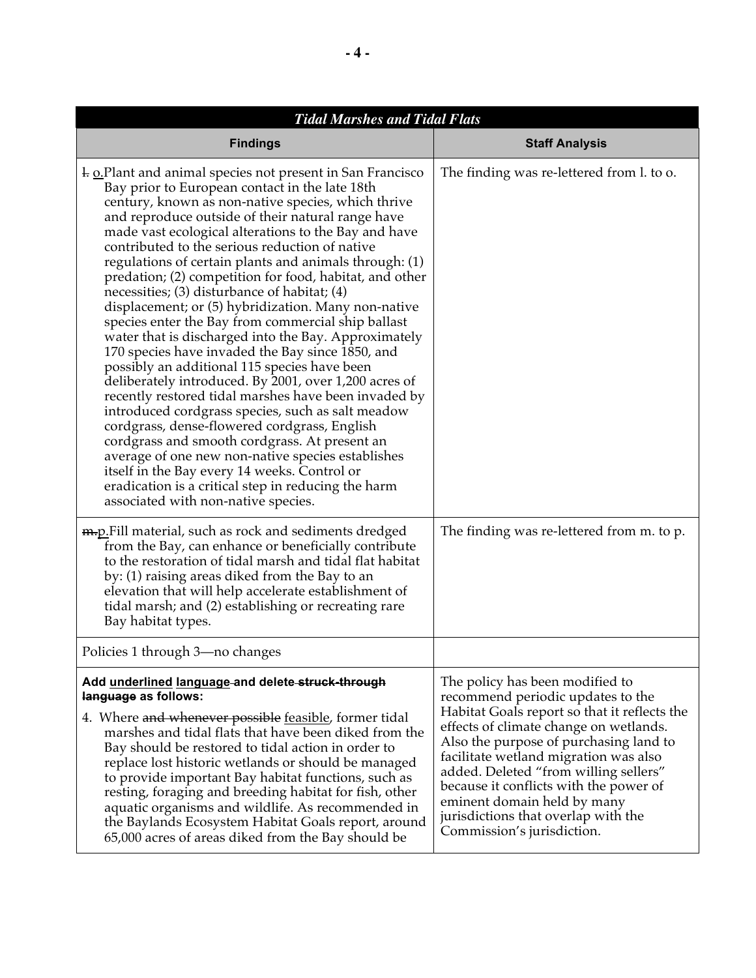| <b>Tidal Marshes and Tidal Flats</b>                                                                                                                                                                                                                                                                                                                                                                                                                                                                                                                                                                                                                                                                                                                                                                                                                                                                                                                                                                                                                                                                                                                                                                                                                                 |                                                                                                                                                                                                                                                                                                                                                                                                                                          |
|----------------------------------------------------------------------------------------------------------------------------------------------------------------------------------------------------------------------------------------------------------------------------------------------------------------------------------------------------------------------------------------------------------------------------------------------------------------------------------------------------------------------------------------------------------------------------------------------------------------------------------------------------------------------------------------------------------------------------------------------------------------------------------------------------------------------------------------------------------------------------------------------------------------------------------------------------------------------------------------------------------------------------------------------------------------------------------------------------------------------------------------------------------------------------------------------------------------------------------------------------------------------|------------------------------------------------------------------------------------------------------------------------------------------------------------------------------------------------------------------------------------------------------------------------------------------------------------------------------------------------------------------------------------------------------------------------------------------|
| <b>Findings</b>                                                                                                                                                                                                                                                                                                                                                                                                                                                                                                                                                                                                                                                                                                                                                                                                                                                                                                                                                                                                                                                                                                                                                                                                                                                      | <b>Staff Analysis</b>                                                                                                                                                                                                                                                                                                                                                                                                                    |
| 1. <b>o.Plant and animal species not present in San Francisco</b><br>Bay prior to European contact in the late 18th<br>century, known as non-native species, which thrive<br>and reproduce outside of their natural range have<br>made vast ecological alterations to the Bay and have<br>contributed to the serious reduction of native<br>regulations of certain plants and animals through: (1)<br>predation; (2) competition for food, habitat, and other<br>necessities; $(3)$ disturbance of habitat; $(4)$<br>displacement; or (5) hybridization. Many non-native<br>species enter the Bay from commercial ship ballast<br>water that is discharged into the Bay. Approximately<br>170 species have invaded the Bay since 1850, and<br>possibly an additional 115 species have been<br>deliberately introduced. By 2001, over 1,200 acres of<br>recently restored tidal marshes have been invaded by<br>introduced cordgrass species, such as salt meadow<br>cordgrass, dense-flowered cordgrass, English<br>cordgrass and smooth cordgrass. At present an<br>average of one new non-native species establishes<br>itself in the Bay every 14 weeks. Control or<br>eradication is a critical step in reducing the harm<br>associated with non-native species. | The finding was re-lettered from l. to o.                                                                                                                                                                                                                                                                                                                                                                                                |
| <b>m.p.</b> Fill material, such as rock and sediments dredged<br>from the Bay, can enhance or beneficially contribute<br>to the restoration of tidal marsh and tidal flat habitat<br>by: (1) raising areas diked from the Bay to an<br>elevation that will help accelerate establishment of<br>tidal marsh; and (2) establishing or recreating rare<br>Bay habitat types.                                                                                                                                                                                                                                                                                                                                                                                                                                                                                                                                                                                                                                                                                                                                                                                                                                                                                            | The finding was re-lettered from m. to p.                                                                                                                                                                                                                                                                                                                                                                                                |
| Policies 1 through 3—no changes                                                                                                                                                                                                                                                                                                                                                                                                                                                                                                                                                                                                                                                                                                                                                                                                                                                                                                                                                                                                                                                                                                                                                                                                                                      |                                                                                                                                                                                                                                                                                                                                                                                                                                          |
| Add underlined language-and delete-struck-through<br>language as follows:<br>4. Where and whenever possible feasible, former tidal<br>marshes and tidal flats that have been diked from the<br>Bay should be restored to tidal action in order to<br>replace lost historic wetlands or should be managed<br>to provide important Bay habitat functions, such as<br>resting, foraging and breeding habitat for fish, other<br>aquatic organisms and wildlife. As recommended in<br>the Baylands Ecosystem Habitat Goals report, around<br>65,000 acres of areas diked from the Bay should be                                                                                                                                                                                                                                                                                                                                                                                                                                                                                                                                                                                                                                                                          | The policy has been modified to<br>recommend periodic updates to the<br>Habitat Goals report so that it reflects the<br>effects of climate change on wetlands.<br>Also the purpose of purchasing land to<br>facilitate wetland migration was also<br>added. Deleted "from willing sellers"<br>because it conflicts with the power of<br>eminent domain held by many<br>jurisdictions that overlap with the<br>Commission's jurisdiction. |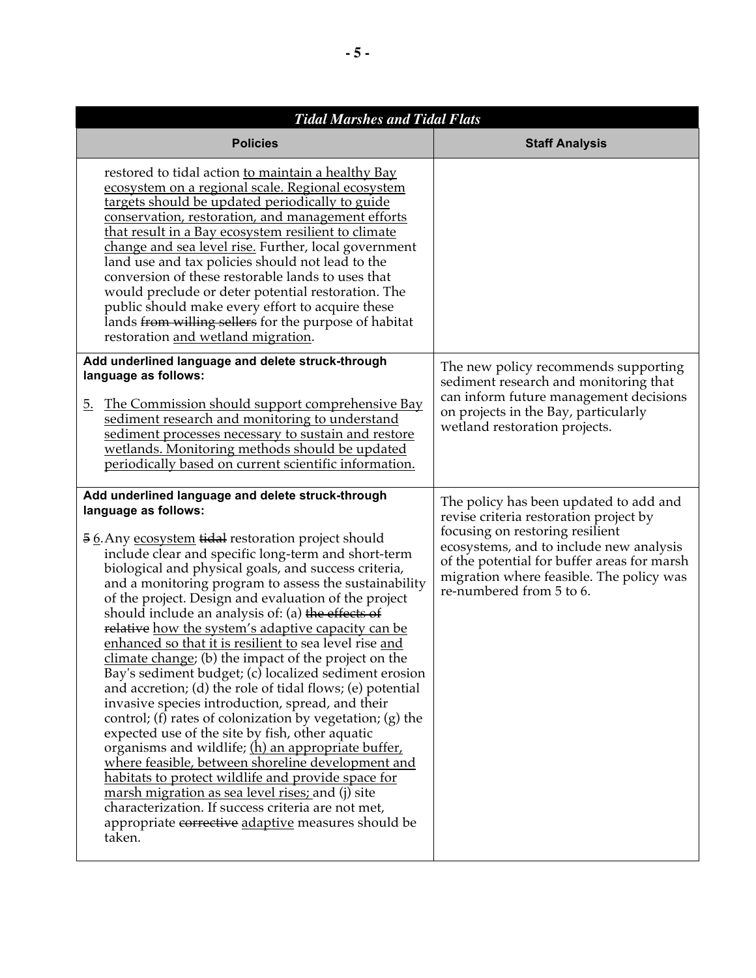| <b>Tidal Marshes and Tidal Flats</b>                                                                                                                                                                                                                                                                                                                                                                                                                                                                                                                                                                                                                                                                                                                                                                                                                                                                                                                                                                                                                                                                                                                                                                                                     |                                                                                                                                                                                                                                                                                       |  |
|------------------------------------------------------------------------------------------------------------------------------------------------------------------------------------------------------------------------------------------------------------------------------------------------------------------------------------------------------------------------------------------------------------------------------------------------------------------------------------------------------------------------------------------------------------------------------------------------------------------------------------------------------------------------------------------------------------------------------------------------------------------------------------------------------------------------------------------------------------------------------------------------------------------------------------------------------------------------------------------------------------------------------------------------------------------------------------------------------------------------------------------------------------------------------------------------------------------------------------------|---------------------------------------------------------------------------------------------------------------------------------------------------------------------------------------------------------------------------------------------------------------------------------------|--|
| <b>Policies</b>                                                                                                                                                                                                                                                                                                                                                                                                                                                                                                                                                                                                                                                                                                                                                                                                                                                                                                                                                                                                                                                                                                                                                                                                                          | <b>Staff Analysis</b>                                                                                                                                                                                                                                                                 |  |
| restored to tidal action to maintain a healthy Bay<br>ecosystem on a regional scale. Regional ecosystem<br>targets should be updated periodically to guide<br>conservation, restoration, and management efforts<br>that result in a Bay ecosystem resilient to climate<br>change and sea level rise. Further, local government<br>land use and tax policies should not lead to the<br>conversion of these restorable lands to uses that<br>would preclude or deter potential restoration. The<br>public should make every effort to acquire these<br>lands from willing sellers for the purpose of habitat<br>restoration and wetland migration.                                                                                                                                                                                                                                                                                                                                                                                                                                                                                                                                                                                         |                                                                                                                                                                                                                                                                                       |  |
| Add underlined language and delete struck-through<br>language as follows:<br>The Commission should support comprehensive Bay<br><u>5.</u><br>sediment research and monitoring to understand<br>sediment processes necessary to sustain and restore<br>wetlands. Monitoring methods should be updated<br>periodically based on current scientific information.                                                                                                                                                                                                                                                                                                                                                                                                                                                                                                                                                                                                                                                                                                                                                                                                                                                                            | The new policy recommends supporting<br>sediment research and monitoring that<br>can inform future management decisions<br>on projects in the Bay, particularly<br>wetland restoration projects.                                                                                      |  |
| Add underlined language and delete struck-through<br>language as follows:<br>56. Any ecosystem tidal restoration project should<br>include clear and specific long-term and short-term<br>biological and physical goals, and success criteria,<br>and a monitoring program to assess the sustainability<br>of the project. Design and evaluation of the project<br>should include an analysis of: (a) the effects of<br>relative how the system's adaptive capacity can be<br>enhanced so that it is resilient to sea level rise and<br>climate change; (b) the impact of the project on the<br>Bay's sediment budget; (c) localized sediment erosion<br>and accretion; (d) the role of tidal flows; (e) potential<br>invasive species introduction, spread, and their<br>control; (f) rates of colonization by vegetation; (g) the<br>expected use of the site by fish, other aquatic<br>organisms and wildlife; (h) an appropriate buffer,<br>where feasible, between shoreline development and<br><u>habitats to protect wildlife and provide space for</u><br>marsh migration as sea level rises; and (j) site<br>characterization. If success criteria are not met,<br>appropriate corrective adaptive measures should be<br>taken. | The policy has been updated to add and<br>revise criteria restoration project by<br>focusing on restoring resilient<br>ecosystems, and to include new analysis<br>of the potential for buffer areas for marsh<br>migration where feasible. The policy was<br>re-numbered from 5 to 6. |  |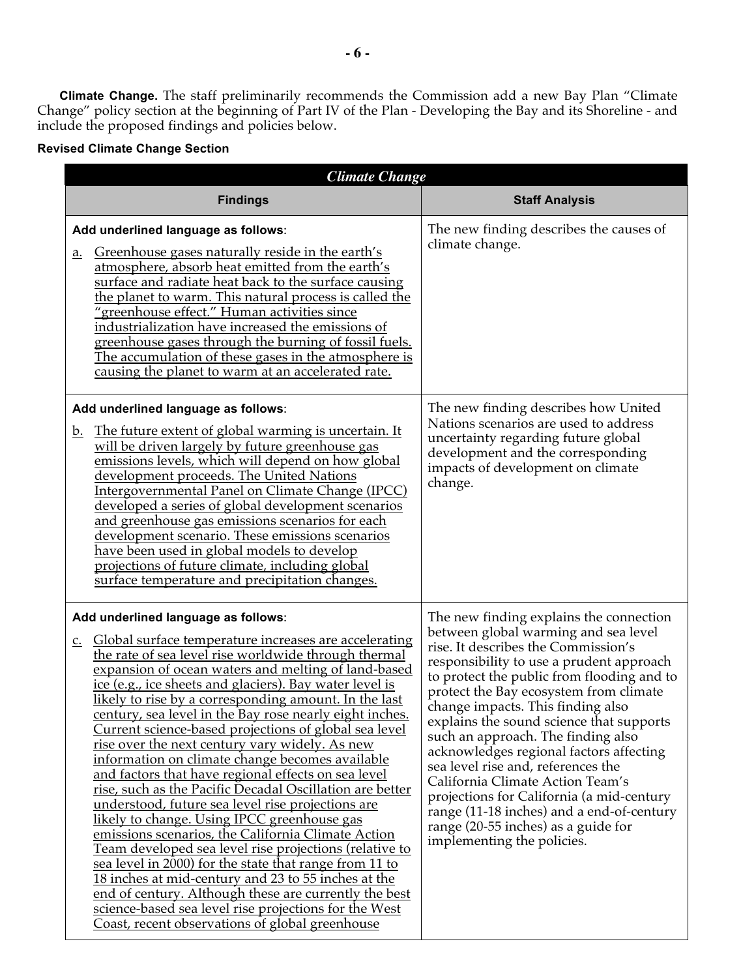**Climate Change.** The staff preliminarily recommends the Commission add a new Bay Plan "Climate Change" policy section at the beginning of Part IV of the Plan - Developing the Bay and its Shoreline - and include the proposed findings and policies below.

## **Revised Climate Change Section**

| <b>Climate Change</b>                                                                                                                                                                                                                                                                                                                                                                                                                                                                                                                                                                                                                                                                                                                                                                                                                                                                                                                                                                                                                                                                                                                                                                                            |                                                                                                                                                                                                                                                                                                                                                                                                                                                                                                                                                                                                                                                                       |  |
|------------------------------------------------------------------------------------------------------------------------------------------------------------------------------------------------------------------------------------------------------------------------------------------------------------------------------------------------------------------------------------------------------------------------------------------------------------------------------------------------------------------------------------------------------------------------------------------------------------------------------------------------------------------------------------------------------------------------------------------------------------------------------------------------------------------------------------------------------------------------------------------------------------------------------------------------------------------------------------------------------------------------------------------------------------------------------------------------------------------------------------------------------------------------------------------------------------------|-----------------------------------------------------------------------------------------------------------------------------------------------------------------------------------------------------------------------------------------------------------------------------------------------------------------------------------------------------------------------------------------------------------------------------------------------------------------------------------------------------------------------------------------------------------------------------------------------------------------------------------------------------------------------|--|
| <b>Findings</b>                                                                                                                                                                                                                                                                                                                                                                                                                                                                                                                                                                                                                                                                                                                                                                                                                                                                                                                                                                                                                                                                                                                                                                                                  | <b>Staff Analysis</b>                                                                                                                                                                                                                                                                                                                                                                                                                                                                                                                                                                                                                                                 |  |
| Add underlined language as follows:<br>Greenhouse gases naturally reside in the earth's<br>a.<br>atmosphere, absorb heat emitted from the earth's<br>surface and radiate heat back to the surface causing<br>the planet to warm. This natural process is called the<br>"greenhouse effect." Human activities since<br>industrialization have increased the emissions of<br>greenhouse gases through the burning of fossil fuels.<br><u>The accumulation of these gases in the atmosphere is</u><br>causing the planet to warm at an accelerated rate.                                                                                                                                                                                                                                                                                                                                                                                                                                                                                                                                                                                                                                                            | The new finding describes the causes of<br>climate change.                                                                                                                                                                                                                                                                                                                                                                                                                                                                                                                                                                                                            |  |
| Add underlined language as follows:<br><u>The future extent of global warming is uncertain. It</u><br><u>b.</u><br>will be driven largely by future greenhouse gas<br>emissions levels, which will depend on how global<br>development proceeds. The United Nations<br>Intergovernmental Panel on Climate Change (IPCC)<br>developed a series of global development scenarios<br>and greenhouse gas emissions scenarios for each<br>development scenario. These emissions scenarios<br>have been used in global models to develop<br>projections of future climate, including global<br>surface temperature and precipitation changes.                                                                                                                                                                                                                                                                                                                                                                                                                                                                                                                                                                           | The new finding describes how United<br>Nations scenarios are used to address<br>uncertainty regarding future global<br>development and the corresponding<br>impacts of development on climate<br>change.                                                                                                                                                                                                                                                                                                                                                                                                                                                             |  |
| Add underlined language as follows:<br>Global surface temperature increases are accelerating<br>$\underline{C}$ .<br>the rate of sea level rise worldwide through thermal<br>expansion of ocean waters and melting of land-based<br><u>ice (e.g., ice sheets and glaciers). Bay water level is</u><br>likely to rise by a corresponding amount. In the last<br>century, sea level in the Bay rose nearly eight inches<br>Current science-based projections of global sea level<br>rise over the next century vary widely. As new<br>information on climate change becomes available<br>and factors that have regional effects on sea level<br>rise, such as the Pacific Decadal Oscillation are better<br>understood, future sea level rise projections are<br>likely to change. Using IPCC greenhouse gas<br>emissions scenarios, the California Climate Action<br>Team developed sea level rise projections (relative to<br>sea level in 2000) for the state that range from 11 to<br>18 inches at mid-century and 23 to 55 inches at the<br>end of century. Although these are currently the best<br>science-based sea level rise projections for the West<br>Coast, recent observations of global greenhouse | The new finding explains the connection<br>between global warming and sea level<br>rise. It describes the Commission's<br>responsibility to use a prudent approach<br>to protect the public from flooding and to<br>protect the Bay ecosystem from climate<br>change impacts. This finding also<br>explains the sound science that supports<br>such an approach. The finding also<br>acknowledges regional factors affecting<br>sea level rise and, references the<br>California Climate Action Team's<br>projections for California (a mid-century<br>range (11-18 inches) and a end-of-century<br>range (20-55 inches) as a guide for<br>implementing the policies. |  |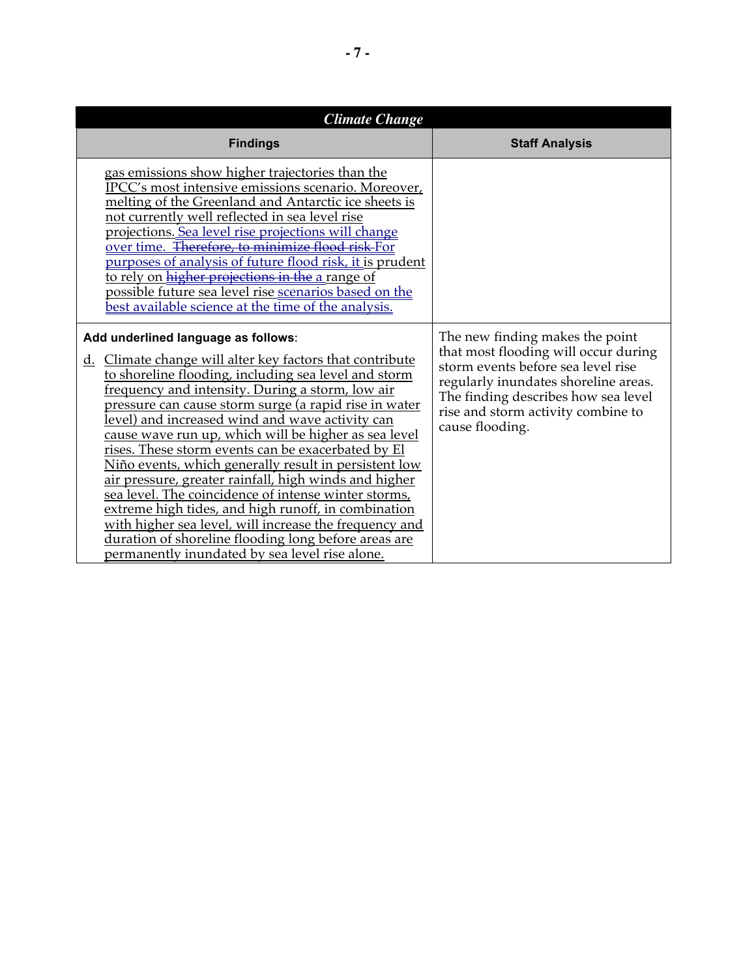| <b>Climate Change</b>                                                                                                                                                                                                                                                                                                                                                                                                                                                                                                                                                                                                                                                                                                                                                                                                                         |                                                                                                                                                                                                                                                       |  |
|-----------------------------------------------------------------------------------------------------------------------------------------------------------------------------------------------------------------------------------------------------------------------------------------------------------------------------------------------------------------------------------------------------------------------------------------------------------------------------------------------------------------------------------------------------------------------------------------------------------------------------------------------------------------------------------------------------------------------------------------------------------------------------------------------------------------------------------------------|-------------------------------------------------------------------------------------------------------------------------------------------------------------------------------------------------------------------------------------------------------|--|
| <b>Findings</b>                                                                                                                                                                                                                                                                                                                                                                                                                                                                                                                                                                                                                                                                                                                                                                                                                               | <b>Staff Analysis</b>                                                                                                                                                                                                                                 |  |
| <u>gas emissions show higher trajectories than the</u><br>IPCC's most intensive emissions scenario. Moreover,<br>melting of the Greenland and Antarctic ice sheets is<br>not currently well reflected in sea level rise<br>projections. Sea level rise projections will change<br>over time. Therefore, to minimize flood risk For<br>purposes of analysis of future flood risk, it is prudent<br>to rely on higher projections in the a range of<br>possible future sea level rise scenarios based on the<br>best available science at the time of the analysis.                                                                                                                                                                                                                                                                             |                                                                                                                                                                                                                                                       |  |
| Add underlined language as follows:<br>Climate change will alter key factors that contribute<br>d.<br>to shoreline flooding, including sea level and storm<br>frequency and intensity. During a storm, low air<br>pressure can cause storm surge (a rapid rise in water<br>level) and increased wind and wave activity can<br>cause wave run up, which will be higher as sea level<br>rises. These storm events can be exacerbated by El<br>Niño events, which generally result in persistent low<br>air pressure, greater rainfall, high winds and higher<br>sea level. The coincidence of intense winter storms,<br>extreme high tides, and high runoff, in combination<br>with higher sea level, will increase the frequency and<br>duration of shoreline flooding long before areas are<br>permanently inundated by sea level rise alone. | The new finding makes the point<br>that most flooding will occur during<br>storm events before sea level rise<br>regularly inundates shoreline areas.<br>The finding describes how sea level<br>rise and storm activity combine to<br>cause flooding. |  |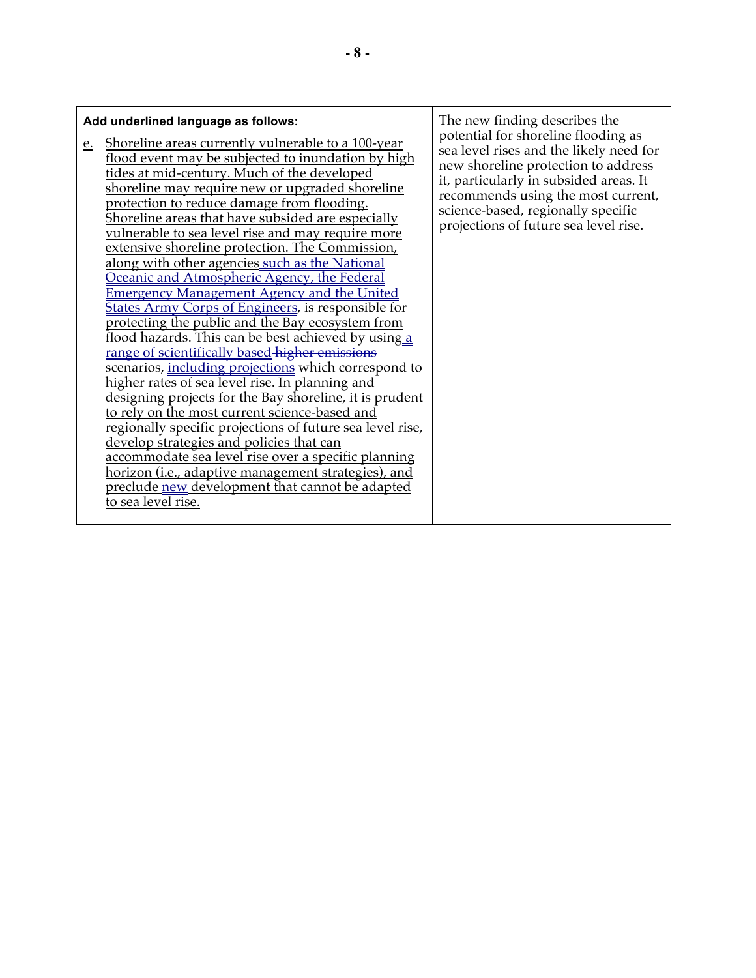| Add underlined language as follows:<br>Shoreline areas currently vulnerable to a 100-year<br>e.<br>flood event may be subjected to inundation by high<br>tides at mid-century. Much of the developed<br><u>shoreline may require new or upgraded shoreline</u><br>protection to reduce damage from flooding.<br>Shoreline areas that have subsided are especially<br>vulnerable to sea level rise and may require more<br>extensive shoreline protection. The Commission,<br>along with other agencies such as the National<br>Oceanic and Atmospheric Agency, the Federal<br><b>Emergency Management Agency and the United</b><br><b>States Army Corps of Engineers, is responsible for</b><br>protecting the public and the Bay ecosystem from<br>flood hazards. This can be best achieved by using a<br>range of scientifically based-higher emissions<br>scenarios, including projections which correspond to<br>higher rates of sea level rise. In planning and<br>designing projects for the Bay shoreline, it is prudent<br>to rely on the most current science-based and<br>regionally specific projections of future sea level rise,<br>develop strategies and policies that can<br>accommodate sea level rise over a specific planning<br>horizon (i.e., adaptive management strategies), and<br>preclude new development that cannot be adapted<br>to sea level rise. | The new finding describes the<br>potential for shoreline flooding as<br>sea level rises and the likely need for<br>new shoreline protection to address<br>it, particularly in subsided areas. It<br>recommends using the most current,<br>science-based, regionally specific<br>projections of future sea level rise. |
|----------------------------------------------------------------------------------------------------------------------------------------------------------------------------------------------------------------------------------------------------------------------------------------------------------------------------------------------------------------------------------------------------------------------------------------------------------------------------------------------------------------------------------------------------------------------------------------------------------------------------------------------------------------------------------------------------------------------------------------------------------------------------------------------------------------------------------------------------------------------------------------------------------------------------------------------------------------------------------------------------------------------------------------------------------------------------------------------------------------------------------------------------------------------------------------------------------------------------------------------------------------------------------------------------------------------------------------------------------------------------------|-----------------------------------------------------------------------------------------------------------------------------------------------------------------------------------------------------------------------------------------------------------------------------------------------------------------------|
|----------------------------------------------------------------------------------------------------------------------------------------------------------------------------------------------------------------------------------------------------------------------------------------------------------------------------------------------------------------------------------------------------------------------------------------------------------------------------------------------------------------------------------------------------------------------------------------------------------------------------------------------------------------------------------------------------------------------------------------------------------------------------------------------------------------------------------------------------------------------------------------------------------------------------------------------------------------------------------------------------------------------------------------------------------------------------------------------------------------------------------------------------------------------------------------------------------------------------------------------------------------------------------------------------------------------------------------------------------------------------------|-----------------------------------------------------------------------------------------------------------------------------------------------------------------------------------------------------------------------------------------------------------------------------------------------------------------------|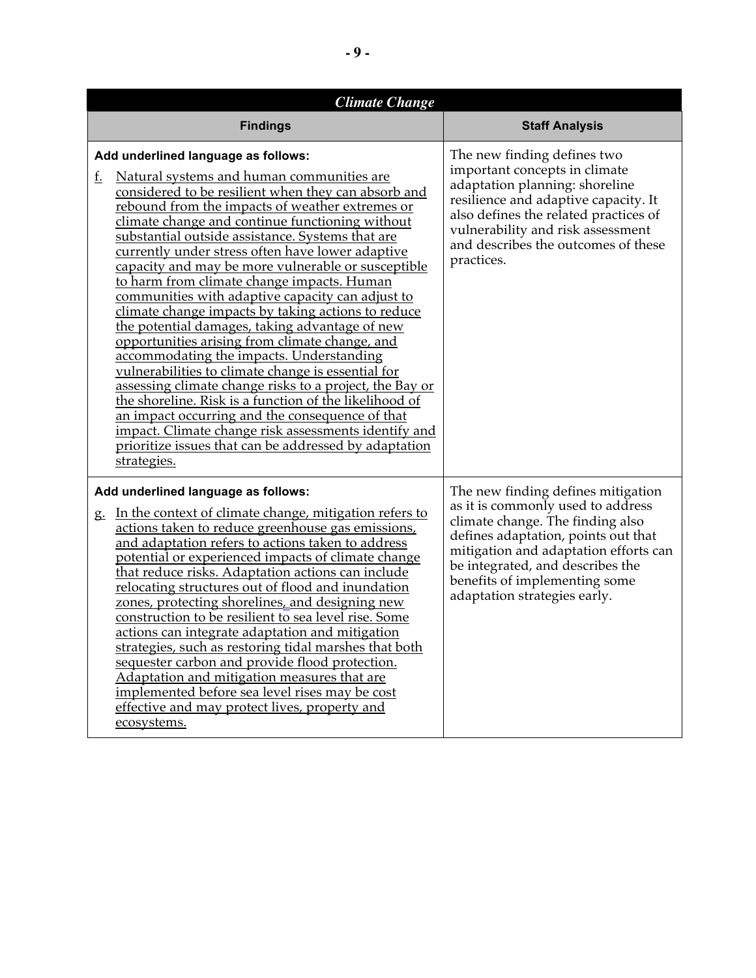| <b>Climate Change</b>                                                                                                                                                                                                                                                                                                                                                                                                                                                                                                                                                                                                                                                                                                                                                                                                                                                                                                                                                                                                                                                                          |                                                                                                                                                                                                                                                                                                  |  |
|------------------------------------------------------------------------------------------------------------------------------------------------------------------------------------------------------------------------------------------------------------------------------------------------------------------------------------------------------------------------------------------------------------------------------------------------------------------------------------------------------------------------------------------------------------------------------------------------------------------------------------------------------------------------------------------------------------------------------------------------------------------------------------------------------------------------------------------------------------------------------------------------------------------------------------------------------------------------------------------------------------------------------------------------------------------------------------------------|--------------------------------------------------------------------------------------------------------------------------------------------------------------------------------------------------------------------------------------------------------------------------------------------------|--|
| <b>Findings</b>                                                                                                                                                                                                                                                                                                                                                                                                                                                                                                                                                                                                                                                                                                                                                                                                                                                                                                                                                                                                                                                                                | <b>Staff Analysis</b>                                                                                                                                                                                                                                                                            |  |
| Add underlined language as follows:<br>Natural systems and human communities are<br>f.<br>considered to be resilient when they can absorb and<br>rebound from the impacts of weather extremes or<br>climate change and continue functioning without<br>substantial outside assistance. Systems that are<br>currently under stress often have lower adaptive<br>capacity and may be more vulnerable or susceptible<br>to harm from climate change impacts. Human<br>communities with adaptive capacity can adjust to<br>climate change impacts by taking actions to reduce<br>the potential damages, taking advantage of new<br>opportunities arising from climate change, and<br>accommodating the impacts. Understanding<br>vulnerabilities to climate change is essential for<br>assessing climate change risks to a project, the Bay or<br>the shoreline. Risk is a function of the likelihood of<br><u>an impact occurring and the consequence of that</u><br>impact. Climate change risk assessments identify and<br>prioritize issues that can be addressed by adaptation<br>strategies. | The new finding defines two<br>important concepts in climate<br>adaptation planning: shoreline<br>resilience and adaptive capacity. It<br>also defines the related practices of<br>vulnerability and risk assessment<br>and describes the outcomes of these<br>practices.                        |  |
| Add underlined language as follows:<br>g. In the context of climate change, mitigation refers to<br>actions taken to reduce greenhouse gas emissions,<br>and adaptation refers to actions taken to address<br>potential or experienced impacts of climate change<br>that reduce risks. Adaptation actions can include<br>relocating structures out of flood and inundation<br>zones, protecting shorelines, and designing new<br>construction to be resilient to sea level rise. Some<br>actions can integrate adaptation and mitigation<br>strategies, such as restoring tidal marshes that both<br>sequester carbon and provide flood protection.<br>Adaptation and mitigation measures that are<br>implemented before sea level rises may be cost<br>effective and may protect lives, property and<br>ecosystems.                                                                                                                                                                                                                                                                           | The new finding defines mitigation<br>as it is commonly used to address<br>climate change. The finding also<br>defines adaptation, points out that<br>mitigation and adaptation efforts can<br>be integrated, and describes the<br>benefits of implementing some<br>adaptation strategies early. |  |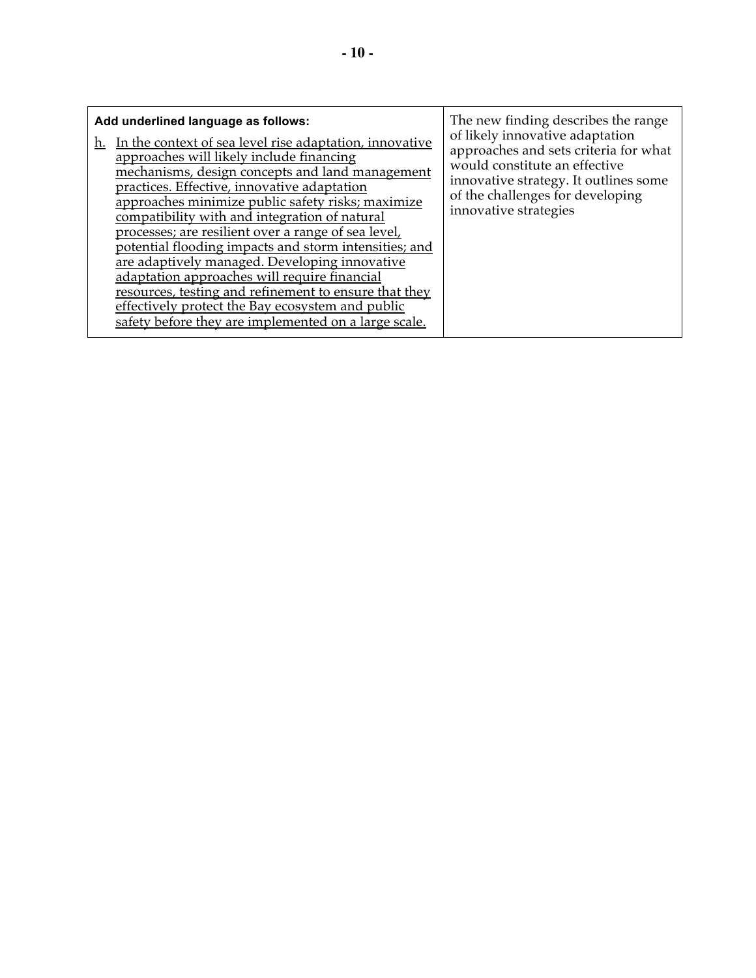| The new finding describes the range<br>Add underlined language as follows:<br>In the context of sea level rise adaptation, innovative<br>h.<br>approaches will likely include financing<br>mechanisms, design concepts and land management<br>practices. Effective, innovative adaptation<br>approaches minimize public safety risks; maximize<br>compatibility with and integration of natural<br>processes; are resilient over a range of sea level,<br>potential flooding impacts and storm intensities; and<br>are adaptively managed. Developing innovative<br>adaptation approaches will require financial<br>resources, testing and refinement to ensure that they<br>effectively protect the Bay ecosystem and public | of likely innovative adaptation<br>approaches and sets criteria for what<br>would constitute an effective<br>innovative strategy. It outlines some<br>of the challenges for developing<br>innovative strategies |
|-------------------------------------------------------------------------------------------------------------------------------------------------------------------------------------------------------------------------------------------------------------------------------------------------------------------------------------------------------------------------------------------------------------------------------------------------------------------------------------------------------------------------------------------------------------------------------------------------------------------------------------------------------------------------------------------------------------------------------|-----------------------------------------------------------------------------------------------------------------------------------------------------------------------------------------------------------------|
| safety before they are implemented on a large scale.                                                                                                                                                                                                                                                                                                                                                                                                                                                                                                                                                                                                                                                                          |                                                                                                                                                                                                                 |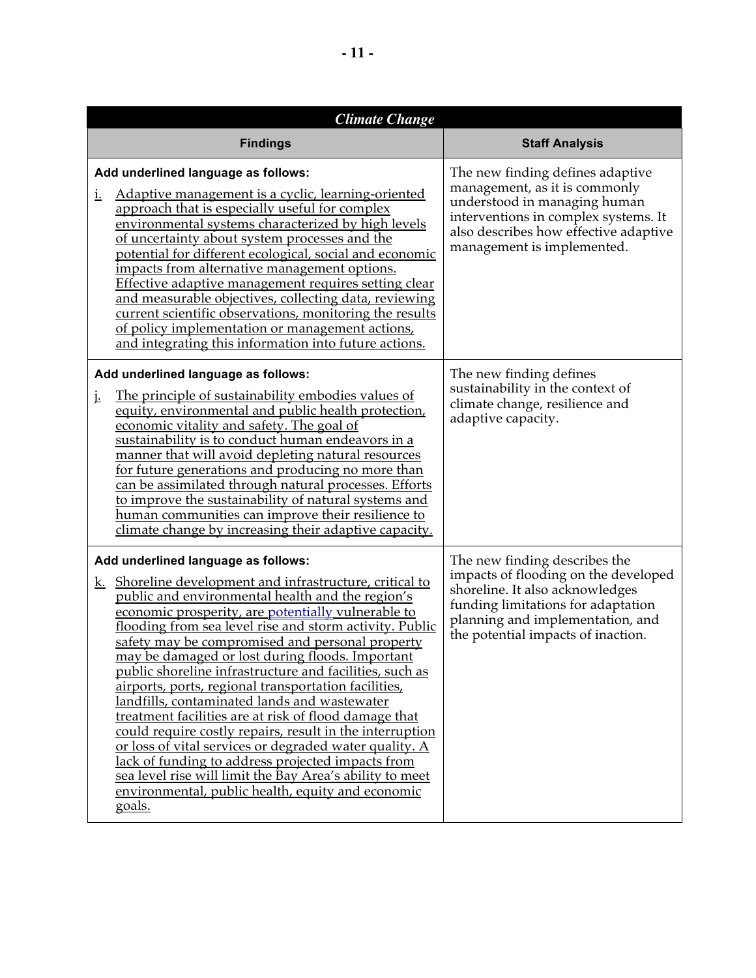| <b>Climate Change</b>                                                                                                                                                                                                                                                                                                                                                                                                                                                                                                                                                                                                                                                                                                                                                                                                                                                                                        |                                                                                                                                                                                                                          |  |
|--------------------------------------------------------------------------------------------------------------------------------------------------------------------------------------------------------------------------------------------------------------------------------------------------------------------------------------------------------------------------------------------------------------------------------------------------------------------------------------------------------------------------------------------------------------------------------------------------------------------------------------------------------------------------------------------------------------------------------------------------------------------------------------------------------------------------------------------------------------------------------------------------------------|--------------------------------------------------------------------------------------------------------------------------------------------------------------------------------------------------------------------------|--|
| <b>Findings</b>                                                                                                                                                                                                                                                                                                                                                                                                                                                                                                                                                                                                                                                                                                                                                                                                                                                                                              | <b>Staff Analysis</b>                                                                                                                                                                                                    |  |
| Add underlined language as follows:<br>Adaptive management is a cyclic, learning-oriented<br><u>i.</u><br>approach that is especially useful for complex<br>environmental systems characterized by high levels<br>of uncertainty about system processes and the<br>potential for different ecological, social and economic<br>impacts from alternative management options.<br>Effective adaptive management requires setting clear<br>and measurable objectives, collecting data, reviewing<br>current scientific observations, monitoring the results<br>of policy implementation or management actions,<br>and integrating this information into future actions.                                                                                                                                                                                                                                           | The new finding defines adaptive<br>management, as it is commonly<br>understood in managing human<br>interventions in complex systems. It<br>also describes how effective adaptive<br>management is implemented.         |  |
| Add underlined language as follows:<br>The principle of sustainability embodies values of<br>j.<br>equity, environmental and public health protection,<br>economic vitality and safety. The goal of<br>sustainability is to conduct human endeavors in a<br>manner that will avoid depleting natural resources<br>for future generations and producing no more than<br>can be assimilated through natural processes. Efforts<br>to improve the sustainability of natural systems and<br>human communities can improve their resilience to<br>climate change by increasing their adaptive capacity.                                                                                                                                                                                                                                                                                                           | The new finding defines<br>sustainability in the context of<br>climate change, resilience and<br>adaptive capacity.                                                                                                      |  |
| Add underlined language as follows:<br>k. Shoreline development and infrastructure, critical to<br>public and environmental health and the region's<br>economic prosperity, are potentially vulnerable to<br>flooding from sea level rise and storm activity. Public<br>safety may be compromised and personal property<br>may be damaged or lost during floods. Important<br>public shoreline infrastructure and facilities, such as<br>airports, ports, regional transportation facilities,<br>landfills, contaminated lands and wastewater<br>treatment facilities are at risk of flood damage that<br>could require costly repairs, result in the interruption<br>or loss of vital services or degraded water quality. A<br>lack of funding to address projected impacts from<br>sea level rise will limit the Bay Area's ability to meet<br>environmental, public health, equity and economic<br>goals. | The new finding describes the<br>impacts of flooding on the developed<br>shoreline. It also acknowledges<br>funding limitations for adaptation<br>planning and implementation, and<br>the potential impacts of inaction. |  |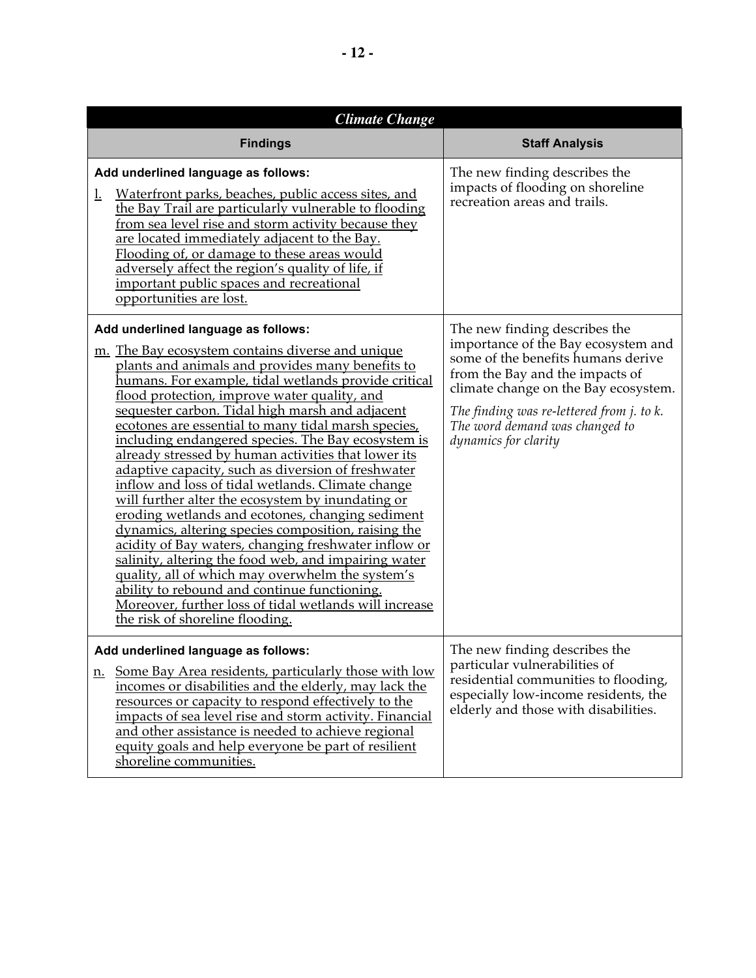| <b>Climate Change</b>                                                                                                                                                                                                                                                                                                                                                                                                                                                                                                                                                                                                                                                                                                                                                                                                                                                                                                                                                                                                                                                  |                                                                                                                                                                                                                                                                                                              |  |
|------------------------------------------------------------------------------------------------------------------------------------------------------------------------------------------------------------------------------------------------------------------------------------------------------------------------------------------------------------------------------------------------------------------------------------------------------------------------------------------------------------------------------------------------------------------------------------------------------------------------------------------------------------------------------------------------------------------------------------------------------------------------------------------------------------------------------------------------------------------------------------------------------------------------------------------------------------------------------------------------------------------------------------------------------------------------|--------------------------------------------------------------------------------------------------------------------------------------------------------------------------------------------------------------------------------------------------------------------------------------------------------------|--|
| <b>Findings</b>                                                                                                                                                                                                                                                                                                                                                                                                                                                                                                                                                                                                                                                                                                                                                                                                                                                                                                                                                                                                                                                        | <b>Staff Analysis</b>                                                                                                                                                                                                                                                                                        |  |
| Add underlined language as follows:<br>Waterfront parks, beaches, public access sites, and<br>$\overline{1}$ .<br>the Bay Trail are particularly vulnerable to flooding<br>from sea level rise and storm activity because they<br>are located immediately adjacent to the Bay.<br>Flooding of, or damage to these areas would<br>adversely affect the region's quality of life, if<br>important public spaces and recreational<br>opportunities are lost.                                                                                                                                                                                                                                                                                                                                                                                                                                                                                                                                                                                                              | The new finding describes the<br>impacts of flooding on shoreline<br>recreation areas and trails.                                                                                                                                                                                                            |  |
| Add underlined language as follows:<br>m. The Bay ecosystem contains diverse and unique<br>plants and animals and provides many benefits to<br>humans. For example, tidal wetlands provide critical<br>flood protection, improve water quality, and<br>sequester carbon. Tidal high marsh and adjacent<br>ecotones are essential to many tidal marsh species,<br>including endangered species. The Bay ecosystem is<br>already stressed by human activities that lower its<br>adaptive capacity, such as diversion of freshwater<br>inflow and loss of tidal wetlands. Climate change<br>will further alter the ecosystem by inundating or<br>eroding wetlands and ecotones, changing sediment<br>dynamics, altering species composition, raising the<br>acidity of Bay waters, changing freshwater inflow or<br>salinity, altering the food web, and impairing water<br>quality, all of which may overwhelm the system's<br>ability to rebound and continue functioning.<br>Moreover, further loss of tidal wetlands will increase<br>the risk of shoreline flooding. | The new finding describes the<br>importance of the Bay ecosystem and<br>some of the benefits humans derive<br>from the Bay and the impacts of<br>climate change on the Bay ecosystem.<br>The finding was re-lettered from <i>j</i> . to <i>k</i> .<br>The word demand was changed to<br>dynamics for clarity |  |
| Add underlined language as follows:<br>Some Bay Area residents, particularly those with low<br>n.<br>incomes or disabilities and the elderly, may lack the<br>resources or capacity to respond effectively to the<br>impacts of sea level rise and storm activity. Financial<br>and other assistance is needed to achieve regional<br>equity goals and help everyone be part of resilient<br>shoreline communities.                                                                                                                                                                                                                                                                                                                                                                                                                                                                                                                                                                                                                                                    | The new finding describes the<br>particular vulnerabilities of<br>residential communities to flooding,<br>especially low-income residents, the<br>elderly and those with disabilities.                                                                                                                       |  |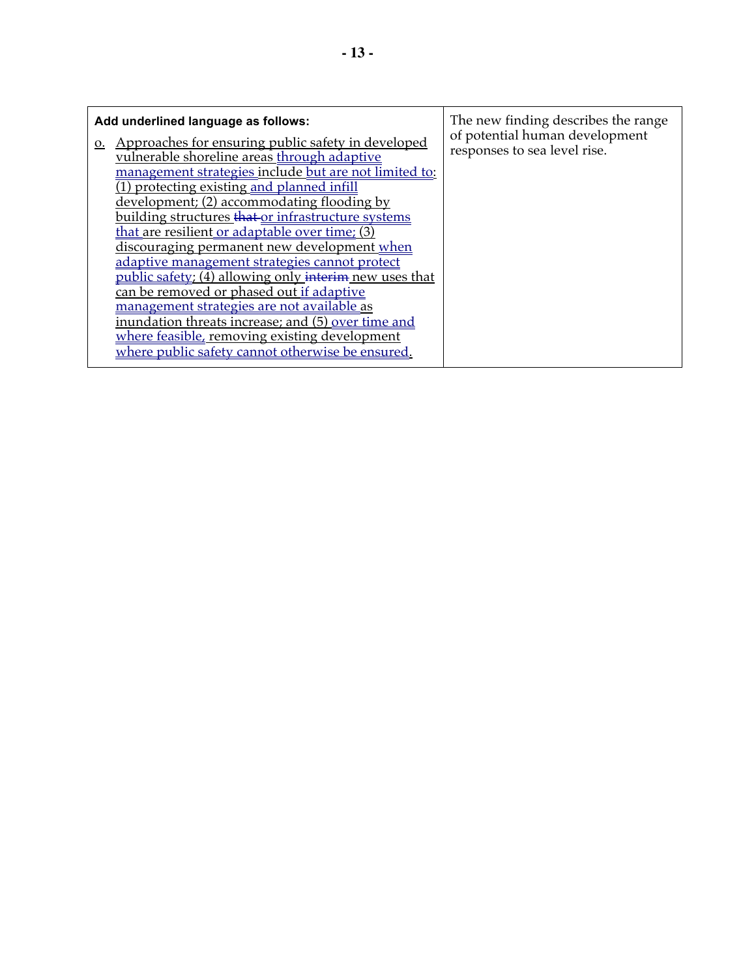| 0. | Add underlined language as follows:<br>Approaches for ensuring public safety in developed<br>vulnerable shoreline areas through adaptive<br>management strategies include but are not limited to:<br>(1) protecting existing and planned infill<br>development; (2) accommodating flooding by<br>building structures that or infrastructure systems<br>that are resilient or adaptable over time; (3)<br>discouraging permanent new development when<br>adaptive management strategies cannot protect<br><u>public safety; <math>(\overline{4})</math> allowing only interiment new uses that</u><br>can be removed or phased out if adaptive<br><u>management strategies are not available as </u><br>inundation threats increase; and (5) <u>over time and</u><br>where feasible, removing existing development | The new finding describes the range<br>of potential human development<br>responses to sea level rise. |
|----|-------------------------------------------------------------------------------------------------------------------------------------------------------------------------------------------------------------------------------------------------------------------------------------------------------------------------------------------------------------------------------------------------------------------------------------------------------------------------------------------------------------------------------------------------------------------------------------------------------------------------------------------------------------------------------------------------------------------------------------------------------------------------------------------------------------------|-------------------------------------------------------------------------------------------------------|
|    | where public safety cannot otherwise be ensured.                                                                                                                                                                                                                                                                                                                                                                                                                                                                                                                                                                                                                                                                                                                                                                  |                                                                                                       |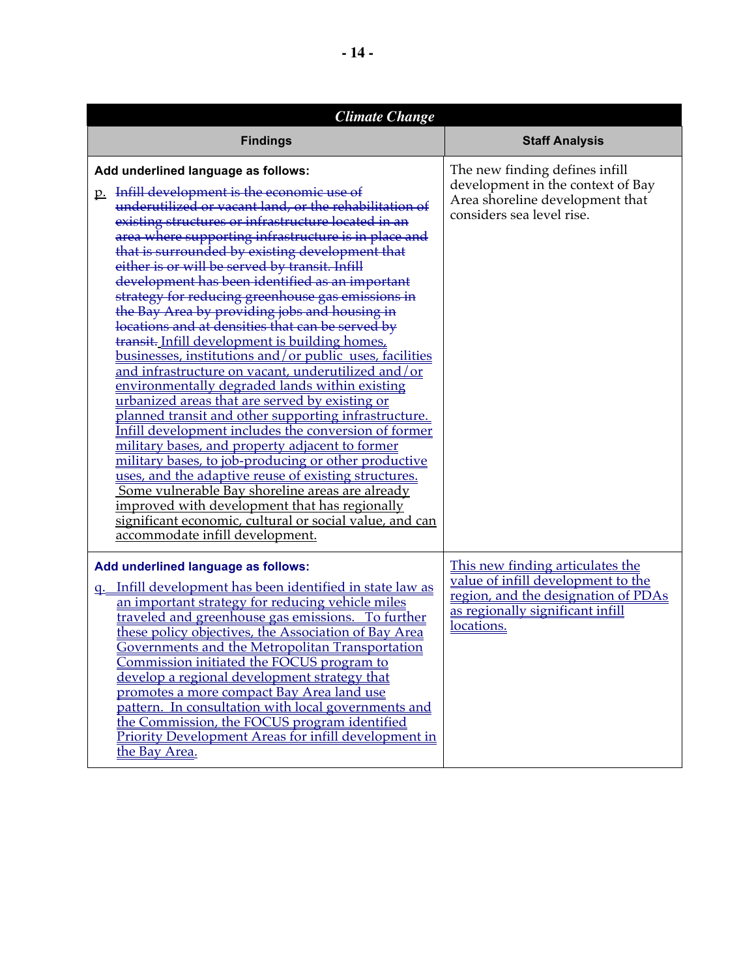| <b>Climate Change</b>                                                                                                                                                                                                                                                                                                                                                                                                                                                                                                                                                                                                                                                                                                                                                                                                                                                                                                                                                                                                                                                                                                                                                                                                                                                                                                                      |                                                                                                                                                                 |  |
|--------------------------------------------------------------------------------------------------------------------------------------------------------------------------------------------------------------------------------------------------------------------------------------------------------------------------------------------------------------------------------------------------------------------------------------------------------------------------------------------------------------------------------------------------------------------------------------------------------------------------------------------------------------------------------------------------------------------------------------------------------------------------------------------------------------------------------------------------------------------------------------------------------------------------------------------------------------------------------------------------------------------------------------------------------------------------------------------------------------------------------------------------------------------------------------------------------------------------------------------------------------------------------------------------------------------------------------------|-----------------------------------------------------------------------------------------------------------------------------------------------------------------|--|
| <b>Findings</b>                                                                                                                                                                                                                                                                                                                                                                                                                                                                                                                                                                                                                                                                                                                                                                                                                                                                                                                                                                                                                                                                                                                                                                                                                                                                                                                            | <b>Staff Analysis</b>                                                                                                                                           |  |
| Add underlined language as follows:<br>p. Infill development is the economic use of<br>underutilized or vacant land, or the rehabilitation of<br>existing structures or infrastructure located in an<br>area where supporting infrastructure is in place and<br>that is surrounded by existing development that<br>either is or will be served by transit. Infill<br>development has been identified as an important<br>strategy for reducing greenhouse gas emissions in<br>the Bay Area by providing jobs and housing in<br>locations and at densities that can be served by<br>transit. Infill development is building homes,<br>businesses, institutions and/or public uses, facilities<br>and infrastructure on vacant, underutilized and/or<br>environmentally degraded lands within existing<br>urbanized areas that are served by existing or<br>planned transit and other supporting infrastructure.<br>Infill development includes the conversion of former<br>military bases, and property adjacent to former<br>military bases, to job-producing or other productive<br>uses, and the adaptive reuse of existing structures.<br>Some vulnerable Bay shoreline areas are already<br>improved with development that has regionally<br>significant economic, cultural or social value, and can<br>accommodate infill development. | The new finding defines infill<br>development in the context of Bay<br>Area shoreline development that<br>considers sea level rise.                             |  |
| Add underlined language as follows:<br>q. Infill development has been identified in state law as<br>an important strategy for reducing vehicle miles<br>traveled and greenhouse gas emissions. To further<br>these policy objectives, the Association of Bay Area<br><u>Governments and the Metropolitan Transportation</u><br>Commission initiated the FOCUS program to<br>develop a regional development strategy that<br>promotes a more compact Bay Area land use<br>pattern. In consultation with local governments and<br>the Commission, the FOCUS program identified<br><b>Priority Development Areas for infill development in</b><br>the Bay Area.                                                                                                                                                                                                                                                                                                                                                                                                                                                                                                                                                                                                                                                                               | This new finding articulates the<br>value of infill development to the<br>region, and the designation of PDAs<br>as regionally significant infill<br>locations. |  |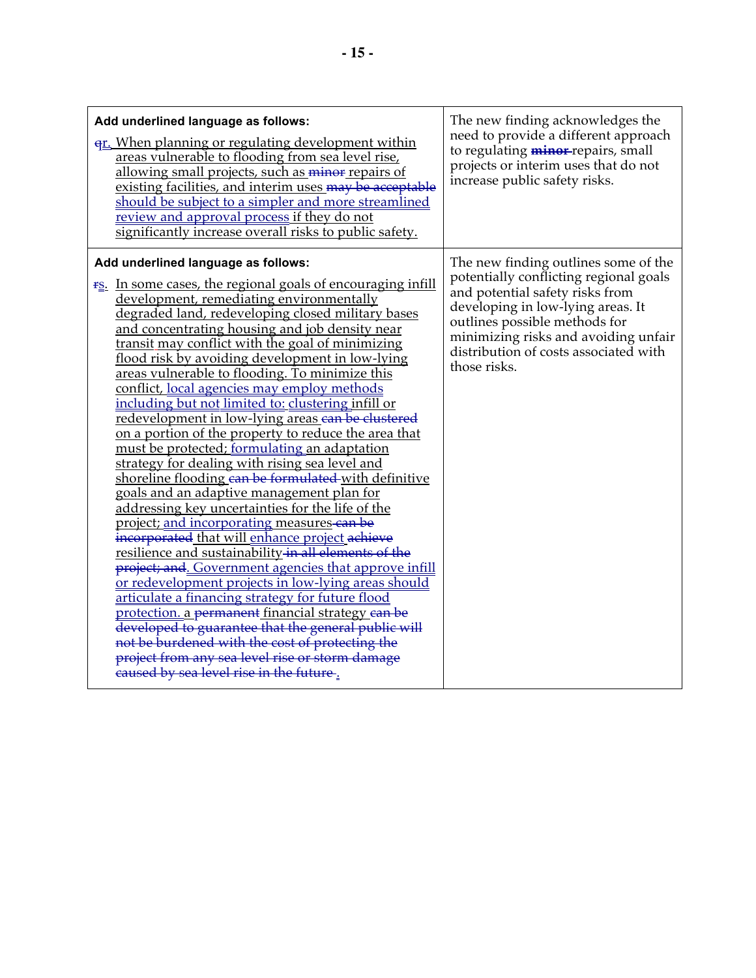| Add underlined language as follows:<br><u>er. When planning or regulating development within</u><br>areas vulnerable to flooding from sea level rise,<br>allowing small projects, such as minor repairs of<br>existing facilities, and interim uses may be acceptable<br>should be subject to a simpler and more streamlined<br>review and approval process if they do not<br>significantly increase overall risks to public safety.                                                                                                                                                                                                                                                                                                                                                                                                                                                                                                                                                                                                                                                                                                                                                                                                                                                                                                                                                                                                                                                        | The new finding acknowledges the<br>need to provide a different approach<br>to regulating <i>minor-</i> repairs, small<br>projects or interim uses that do not<br>increase public safety risks.                                                                                          |
|---------------------------------------------------------------------------------------------------------------------------------------------------------------------------------------------------------------------------------------------------------------------------------------------------------------------------------------------------------------------------------------------------------------------------------------------------------------------------------------------------------------------------------------------------------------------------------------------------------------------------------------------------------------------------------------------------------------------------------------------------------------------------------------------------------------------------------------------------------------------------------------------------------------------------------------------------------------------------------------------------------------------------------------------------------------------------------------------------------------------------------------------------------------------------------------------------------------------------------------------------------------------------------------------------------------------------------------------------------------------------------------------------------------------------------------------------------------------------------------------|------------------------------------------------------------------------------------------------------------------------------------------------------------------------------------------------------------------------------------------------------------------------------------------|
| Add underlined language as follows:<br><b>FS.</b> In some cases, the regional goals of encouraging infill<br>development, remediating environmentally<br>degraded land, redeveloping closed military bases<br>and concentrating housing and job density near<br>transit may conflict with the goal of minimizing<br>flood risk by avoiding development in low-lying<br>areas vulnerable to flooding. To minimize this<br>conflict, local agencies may employ methods<br>including but not limited to: clustering infill or<br>redevelopment in low-lying areas can be clustered<br>on a portion of the property to reduce the area that<br>must be protected; formulating an adaptation<br>strategy for dealing with rising sea level and<br>shoreline flooding can be formulated-with definitive<br>goals and an adaptive management plan for<br>addressing key uncertainties for the life of the<br>project; and incorporating measures-can be<br>incorporated that will enhance project achieve<br>resilience and sustainability in all elements of the<br>project; and. Government agencies that approve infill<br>or redevelopment projects in low-lying areas should<br>articulate a financing strategy for future flood<br>protection. a permanent financial strategy can be<br>developed to guarantee that the general public will<br>not be burdened with the cost of protecting the<br>project from any sea level rise or storm damage<br>caused by sea level rise in the future. | The new finding outlines some of the<br>potentially conflicting regional goals<br>and potential safety risks from<br>developing in low-lying areas. It<br>outlines possible methods for<br>minimizing risks and avoiding unfair<br>distribution of costs associated with<br>those risks. |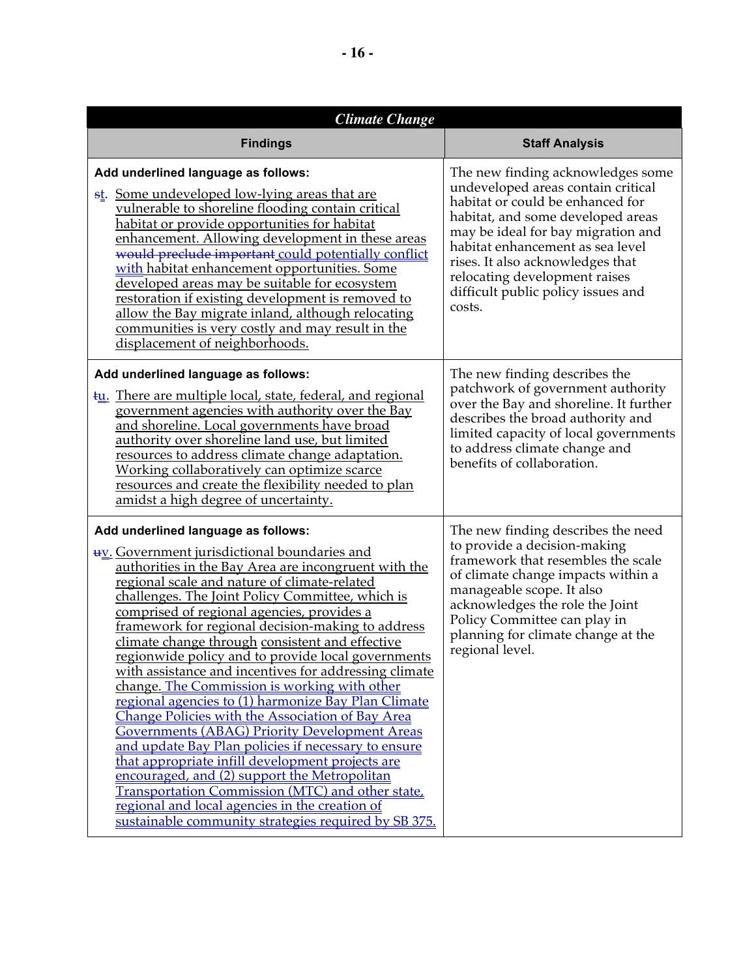| <b>Climate Change</b>                                                                                                                                                                                                                                                                                                                                                                                                                                                                                                                                                                                                                                                                                                                                                                                                                                                                                                                                                                                                                                                   |                                                                                                                                                                                                                                                                                                                                                 |  |
|-------------------------------------------------------------------------------------------------------------------------------------------------------------------------------------------------------------------------------------------------------------------------------------------------------------------------------------------------------------------------------------------------------------------------------------------------------------------------------------------------------------------------------------------------------------------------------------------------------------------------------------------------------------------------------------------------------------------------------------------------------------------------------------------------------------------------------------------------------------------------------------------------------------------------------------------------------------------------------------------------------------------------------------------------------------------------|-------------------------------------------------------------------------------------------------------------------------------------------------------------------------------------------------------------------------------------------------------------------------------------------------------------------------------------------------|--|
| <b>Findings</b>                                                                                                                                                                                                                                                                                                                                                                                                                                                                                                                                                                                                                                                                                                                                                                                                                                                                                                                                                                                                                                                         | <b>Staff Analysis</b>                                                                                                                                                                                                                                                                                                                           |  |
| Add underlined language as follows:<br>st. Some undeveloped low-lying areas that are<br>vulnerable to shoreline flooding contain critical<br>habitat or provide opportunities for habitat<br>enhancement. Allowing development in these areas<br>would preclude important could potentially conflict<br>with habitat enhancement opportunities. Some<br>developed areas may be suitable for ecosystem<br>restoration if existing development is removed to<br>allow the Bay migrate inland, although relocating<br>communities is very costly and may result in the<br>displacement of neighborhoods.                                                                                                                                                                                                                                                                                                                                                                                                                                                                   | The new finding acknowledges some<br>undeveloped areas contain critical<br>habitat or could be enhanced for<br>habitat, and some developed areas<br>may be ideal for bay migration and<br>habitat enhancement as sea level<br>rises. It also acknowledges that<br>relocating development raises<br>difficult public policy issues and<br>costs. |  |
| Add underlined language as follows:<br><b>tu.</b> There are multiple local, state, federal, and regional<br>government agencies with authority over the Bay<br>and shoreline. Local governments have broad<br>authority over shoreline land use, but limited<br>resources to address climate change adaptation.<br>Working collaboratively can optimize scarce<br>resources and create the flexibility needed to plan<br>amidst a high degree of uncertainty.                                                                                                                                                                                                                                                                                                                                                                                                                                                                                                                                                                                                           | The new finding describes the<br>patchwork of government authority<br>over the Bay and shoreline. It further<br>describes the broad authority and<br>limited capacity of local governments<br>to address climate change and<br>benefits of collaboration.                                                                                       |  |
| Add underlined language as follows:<br><b>uv.</b> Government jurisdictional boundaries and<br>authorities in the Bay Area are incongruent with the<br>regional scale and nature of climate-related<br>challenges. The Joint Policy Committee, which is<br>comprised of regional agencies, provides a<br>framework for regional decision-making to address<br>climate change through consistent and effective<br>regionwide policy and to provide local governments<br>with assistance and incentives for addressing climate<br>change. The Commission is working with other<br>regional agencies to (1) harmonize Bay Plan Climate<br>Change Policies with the Association of Bay Area<br>Governments (ABAG) Priority Development Areas<br>and update Bay Plan policies if necessary to ensure<br>that appropriate infill development projects are<br>encouraged, and (2) support the Metropolitan<br><b>Transportation Commission (MTC) and other state.</b><br>regional and local agencies in the creation of<br>sustainable community strategies required by SB 375. | The new finding describes the need<br>to provide a decision-making<br>framework that resembles the scale<br>of climate change impacts within a<br>manageable scope. It also<br>acknowledges the role the Joint<br>Policy Committee can play in<br>planning for climate change at the<br>regional level.                                         |  |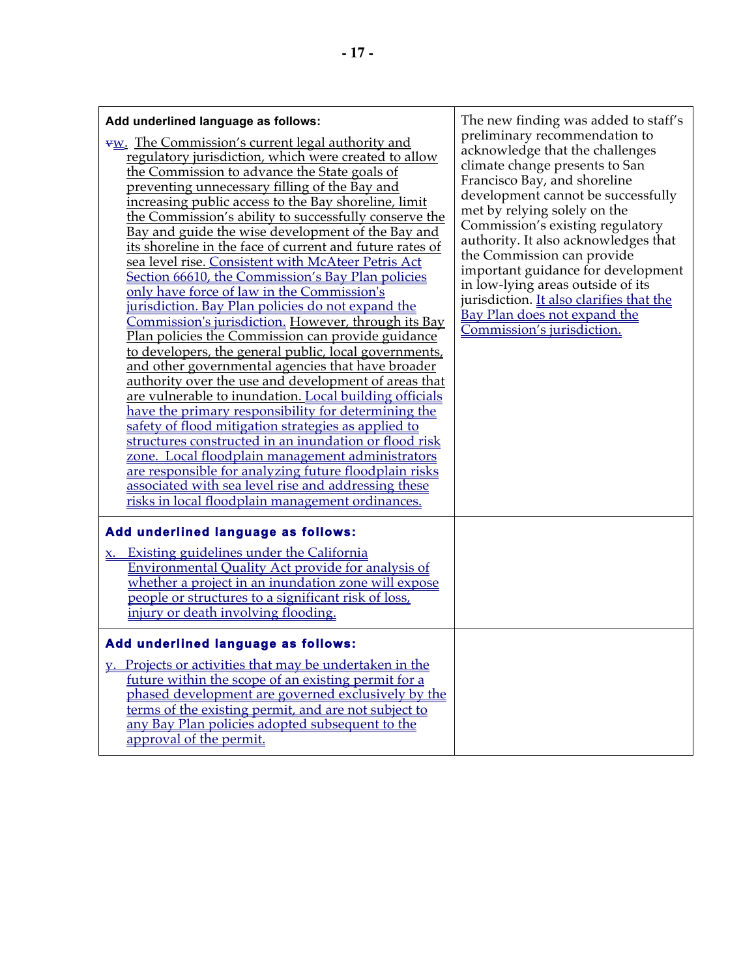| Add underlined language as follows:<br><b>VW.</b> The Commission's current legal authority and<br>regulatory jurisdiction, which were created to allow<br>the Commission to advance the State goals of<br>preventing unnecessary filling of the Bay and<br>increasing public access to the Bay shoreline, limit<br>the Commission's ability to successfully conserve the<br>Bay and guide the wise development of the Bay and<br>its shoreline in the face of current and future rates of<br>sea level rise. Consistent with McAteer Petris Act<br>Section 66610, the Commission's Bay Plan policies<br>only have force of law in the Commission's<br>jurisdiction. Bay Plan policies do not expand the<br>Commission's jurisdiction. However, through its Bay<br>Plan policies the Commission can provide guidance<br>to developers, the general public, local governments,<br>and other governmental agencies that have broader<br>authority over the use and development of areas that<br>are vulnerable to inundation. Local building officials<br>have the primary responsibility for determining the<br>safety of flood mitigation strategies as applied to<br>structures constructed in an inundation or flood risk<br>zone. Local floodplain management administrators<br>are responsible for analyzing future floodplain risks<br>associated with sea level rise and addressing these<br>risks in local floodplain management ordinances. | The new finding was added to staff's<br>preliminary recommendation to<br>acknowledge that the challenges<br>climate change presents to San<br>Francisco Bay, and shoreline<br>development cannot be successfully<br>met by relying solely on the<br>Commission's existing regulatory<br>authority. It also acknowledges that<br>the Commission can provide<br>important guidance for development<br>in low-lying areas outside of its<br>jurisdiction. It also clarifies that the<br>Bay Plan does not expand the<br>Commission's jurisdiction. |
|----------------------------------------------------------------------------------------------------------------------------------------------------------------------------------------------------------------------------------------------------------------------------------------------------------------------------------------------------------------------------------------------------------------------------------------------------------------------------------------------------------------------------------------------------------------------------------------------------------------------------------------------------------------------------------------------------------------------------------------------------------------------------------------------------------------------------------------------------------------------------------------------------------------------------------------------------------------------------------------------------------------------------------------------------------------------------------------------------------------------------------------------------------------------------------------------------------------------------------------------------------------------------------------------------------------------------------------------------------------------------------------------------------------------------------------------------|-------------------------------------------------------------------------------------------------------------------------------------------------------------------------------------------------------------------------------------------------------------------------------------------------------------------------------------------------------------------------------------------------------------------------------------------------------------------------------------------------------------------------------------------------|
| Add underlined language as follows:<br>x. Existing guidelines under the California                                                                                                                                                                                                                                                                                                                                                                                                                                                                                                                                                                                                                                                                                                                                                                                                                                                                                                                                                                                                                                                                                                                                                                                                                                                                                                                                                                 |                                                                                                                                                                                                                                                                                                                                                                                                                                                                                                                                                 |
| <b>Environmental Quality Act provide for analysis of</b><br>whether a project in an inundation zone will expose<br>people or structures to a significant risk of loss,<br>injury or death involving flooding.                                                                                                                                                                                                                                                                                                                                                                                                                                                                                                                                                                                                                                                                                                                                                                                                                                                                                                                                                                                                                                                                                                                                                                                                                                      |                                                                                                                                                                                                                                                                                                                                                                                                                                                                                                                                                 |
| Add underlined language as follows:                                                                                                                                                                                                                                                                                                                                                                                                                                                                                                                                                                                                                                                                                                                                                                                                                                                                                                                                                                                                                                                                                                                                                                                                                                                                                                                                                                                                                |                                                                                                                                                                                                                                                                                                                                                                                                                                                                                                                                                 |
| y. Projects or activities that may be undertaken in the<br>future within the scope of an existing permit for a<br>phased development are governed exclusively by the<br>terms of the existing permit, and are not subject to                                                                                                                                                                                                                                                                                                                                                                                                                                                                                                                                                                                                                                                                                                                                                                                                                                                                                                                                                                                                                                                                                                                                                                                                                       |                                                                                                                                                                                                                                                                                                                                                                                                                                                                                                                                                 |

any Bay Plan policies adopted subsequent to the

approval of the permit.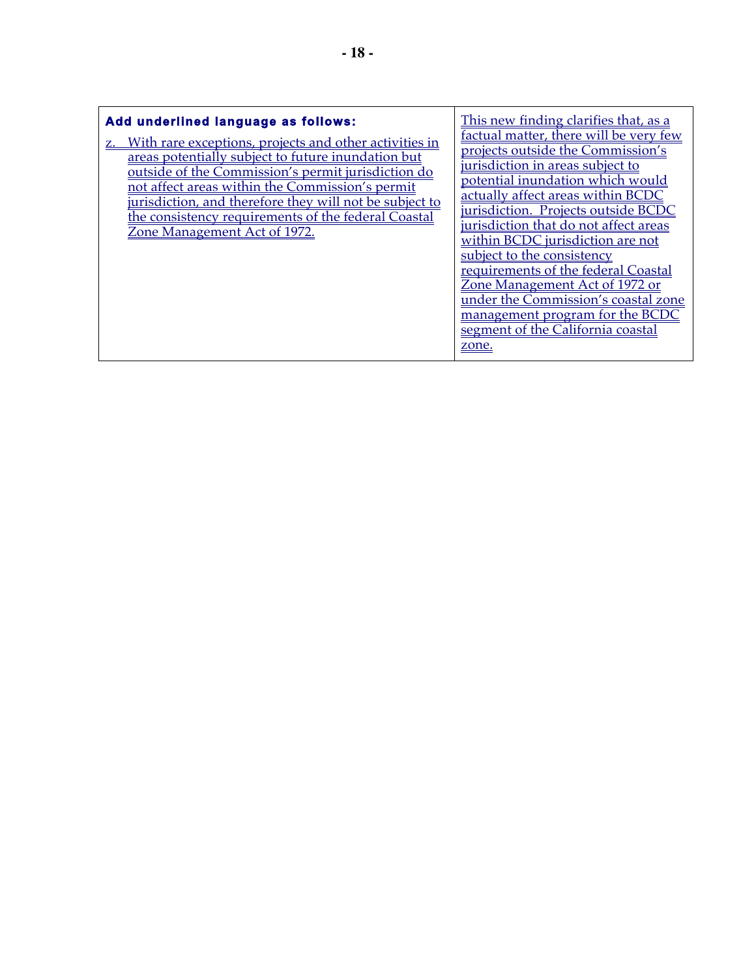| zone. |
|-------|
|-------|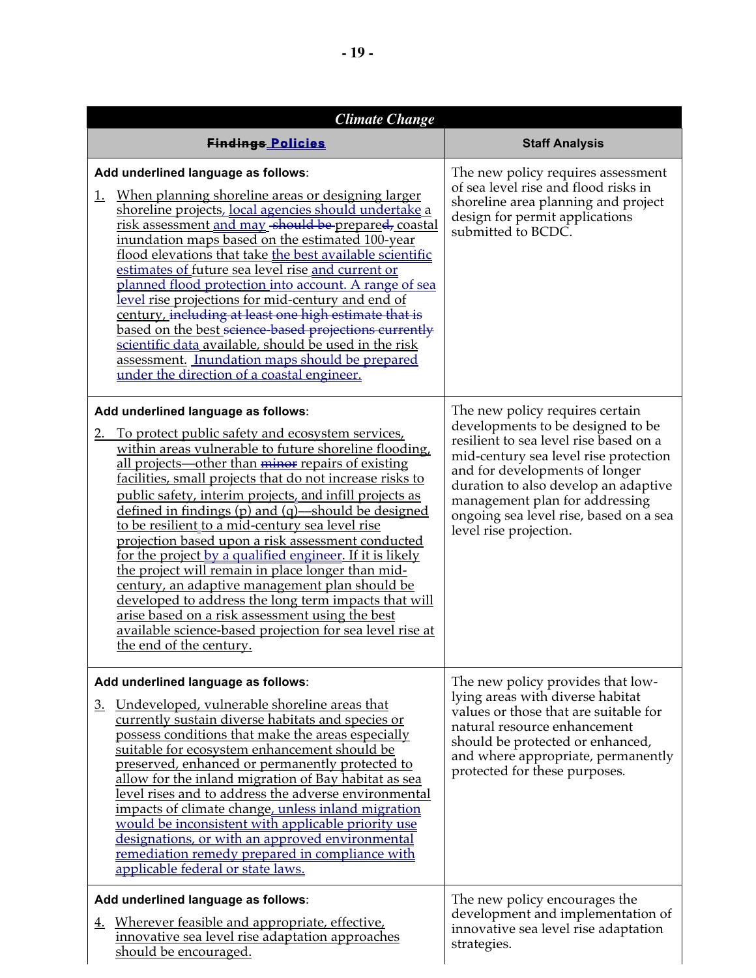| <b>Climate Change</b>                                                                                                                                                                                                                                                                                                                                                                                                                                                                                                                                                                                                                                                                                                                                                                                                                                                             |                                                                                                                                                                                                                                                                                                                                         |  |
|-----------------------------------------------------------------------------------------------------------------------------------------------------------------------------------------------------------------------------------------------------------------------------------------------------------------------------------------------------------------------------------------------------------------------------------------------------------------------------------------------------------------------------------------------------------------------------------------------------------------------------------------------------------------------------------------------------------------------------------------------------------------------------------------------------------------------------------------------------------------------------------|-----------------------------------------------------------------------------------------------------------------------------------------------------------------------------------------------------------------------------------------------------------------------------------------------------------------------------------------|--|
| <b>Findings Policies</b>                                                                                                                                                                                                                                                                                                                                                                                                                                                                                                                                                                                                                                                                                                                                                                                                                                                          | <b>Staff Analysis</b>                                                                                                                                                                                                                                                                                                                   |  |
| Add underlined language as follows:<br><u>When planning shoreline areas or designing larger</u><br><u>1.</u><br>shoreline projects, local agencies should undertake a<br>risk assessment and may should be prepared, coastal<br>inundation maps based on the estimated 100-year<br>flood elevations that take the best available scientific<br>estimates of future sea level rise and current or<br><u>planned flood protection into account. A range of sea</u><br>level rise projections for mid-century and end of<br>century, including at least one high estimate that is<br>based on the best science-based projections currently<br>scientific data available, should be used in the risk<br>assessment. Inundation maps should be prepared<br>under the direction of a coastal engineer.                                                                                  | The new policy requires assessment<br>of sea level rise and flood risks in<br>shoreline area planning and project<br>design for permit applications<br>submitted to BCDC.                                                                                                                                                               |  |
| Add underlined language as follows:<br>To protect public safety and ecosystem services,<br><u>2.</u><br>within areas vulnerable to future shoreline flooding,<br>all projects—other than minor repairs of existing<br>facilities, small projects that do not increase risks to<br>public safety, interim projects, and infill projects as<br>defined in findings $(p)$ and $(q)$ —should be designed<br>to be resilient to a mid-century sea level rise<br>projection based upon a risk assessment conducted<br>for the project by a qualified engineer. If it is likely<br>the project will remain in place longer than mid-<br>century, an adaptive management plan should be<br>developed to address the long term impacts that will<br>arise based on a risk assessment using the best<br>available science-based projection for sea level rise at<br>the end of the century. | The new policy requires certain<br>developments to be designed to be<br>resilient to sea level rise based on a<br>mid-century sea level rise protection<br>and for developments of longer<br>duration to also develop an adaptive<br>management plan for addressing<br>ongoing sea level rise, based on a sea<br>level rise projection. |  |
| Add underlined language as follows:<br><u>Undeveloped, vulnerable shoreline areas that</u><br><u>3.</u><br>currently sustain diverse habitats and species or<br>possess conditions that make the areas especially<br>suitable for ecosystem enhancement should be<br>preserved, enhanced or permanently protected to<br>allow for the inland migration of Bay habitat as sea<br>level rises and to address the adverse environmental<br>impacts of climate change, unless inland migration<br>would be inconsistent with applicable priority use<br>designations, or with an approved environmental<br>remediation remedy prepared in compliance with<br>applicable federal or state laws.                                                                                                                                                                                        | The new policy provides that low-<br>lying areas with diverse habitat<br>values or those that are suitable for<br>natural resource enhancement<br>should be protected or enhanced,<br>and where appropriate, permanently<br>protected for these purposes.                                                                               |  |
| Add underlined language as follows:<br>Wherever feasible and appropriate, effective,<br><u>4.</u><br>innovative sea level rise adaptation approaches<br>should be encouraged.                                                                                                                                                                                                                                                                                                                                                                                                                                                                                                                                                                                                                                                                                                     | The new policy encourages the<br>development and implementation of<br>innovative sea level rise adaptation<br>strategies.                                                                                                                                                                                                               |  |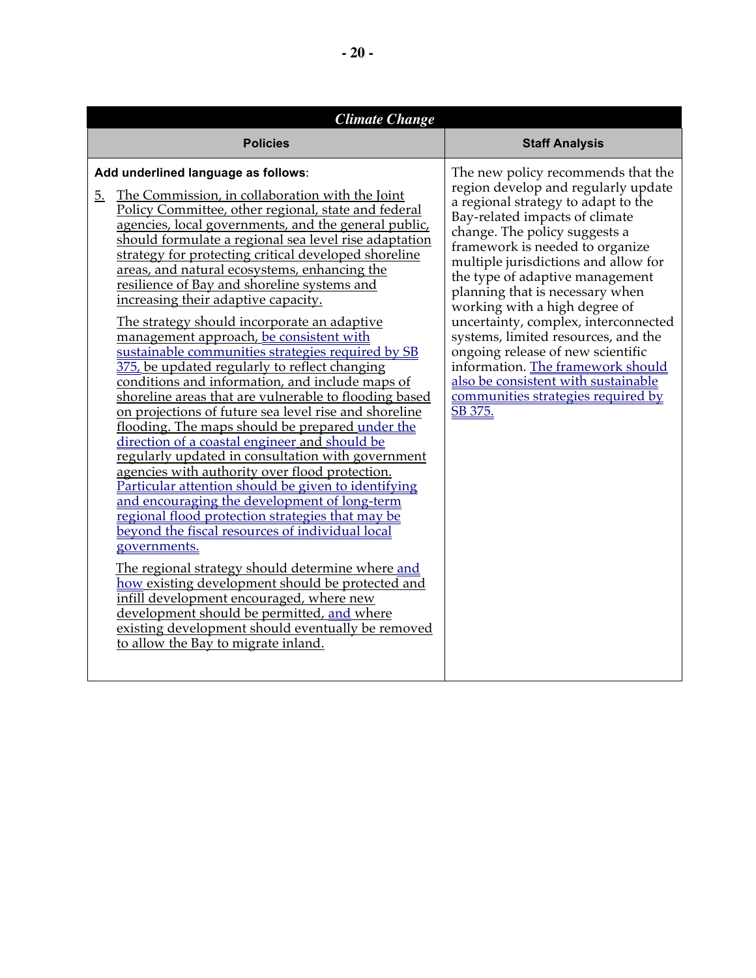| <b>Climate Change</b>                                                                                                                                                                                                                                                                                                                                                                                                                                                                                                                                                                                                                                                                                                                                                                                                                                                                                                                                                                                                                                                                                                                                                                                                                                                                                                                                                                                                                                                                                                                                                          |                                                                                                                                                                                                                                                                                                                                                                                                                                                                                                                                                                                                                        |  |
|--------------------------------------------------------------------------------------------------------------------------------------------------------------------------------------------------------------------------------------------------------------------------------------------------------------------------------------------------------------------------------------------------------------------------------------------------------------------------------------------------------------------------------------------------------------------------------------------------------------------------------------------------------------------------------------------------------------------------------------------------------------------------------------------------------------------------------------------------------------------------------------------------------------------------------------------------------------------------------------------------------------------------------------------------------------------------------------------------------------------------------------------------------------------------------------------------------------------------------------------------------------------------------------------------------------------------------------------------------------------------------------------------------------------------------------------------------------------------------------------------------------------------------------------------------------------------------|------------------------------------------------------------------------------------------------------------------------------------------------------------------------------------------------------------------------------------------------------------------------------------------------------------------------------------------------------------------------------------------------------------------------------------------------------------------------------------------------------------------------------------------------------------------------------------------------------------------------|--|
| <b>Policies</b>                                                                                                                                                                                                                                                                                                                                                                                                                                                                                                                                                                                                                                                                                                                                                                                                                                                                                                                                                                                                                                                                                                                                                                                                                                                                                                                                                                                                                                                                                                                                                                | <b>Staff Analysis</b>                                                                                                                                                                                                                                                                                                                                                                                                                                                                                                                                                                                                  |  |
| Add underlined language as follows:<br>The Commission, in collaboration with the Joint<br>5.<br>Policy Committee, other regional, state and federal<br>agencies, local governments, and the general public,<br>should formulate a regional sea level rise adaptation<br>strategy for protecting critical developed shoreline<br>areas, and natural ecosystems, enhancing the<br>resilience of Bay and shoreline systems and<br>increasing their adaptive capacity.<br>The strategy should incorporate an adaptive<br>management approach, be consistent with<br>sustainable communities strategies required by SB<br>375, be updated regularly to reflect changing<br>conditions and information, and include maps of<br>shoreline areas that are vulnerable to flooding based<br>on projections of future sea level rise and shoreline<br>flooding. The maps should be prepared under the<br>direction of a coastal engineer and should be<br>regularly updated in consultation with government<br>agencies with authority over flood protection.<br>Particular attention should be given to identifying<br>and encouraging the development of long-term<br>regional flood protection strategies that may be<br>beyond the fiscal resources of individual local<br>governments.<br>The regional strategy should determine where and<br>how existing development should be protected and<br>infill development encouraged, where new<br>development should be permitted, and where<br>existing development should eventually be removed<br>to allow the Bay to migrate inland. | The new policy recommends that the<br>region develop and regularly update<br>a regional strategy to adapt to the<br>Bay-related impacts of climate<br>change. The policy suggests a<br>framework is needed to organize<br>multiple jurisdictions and allow for<br>the type of adaptive management<br>planning that is necessary when<br>working with a high degree of<br>uncertainty, complex, interconnected<br>systems, limited resources, and the<br>ongoing release of new scientific<br>information. The framework should<br>also be consistent with sustainable<br>communities strategies required by<br>SB 375. |  |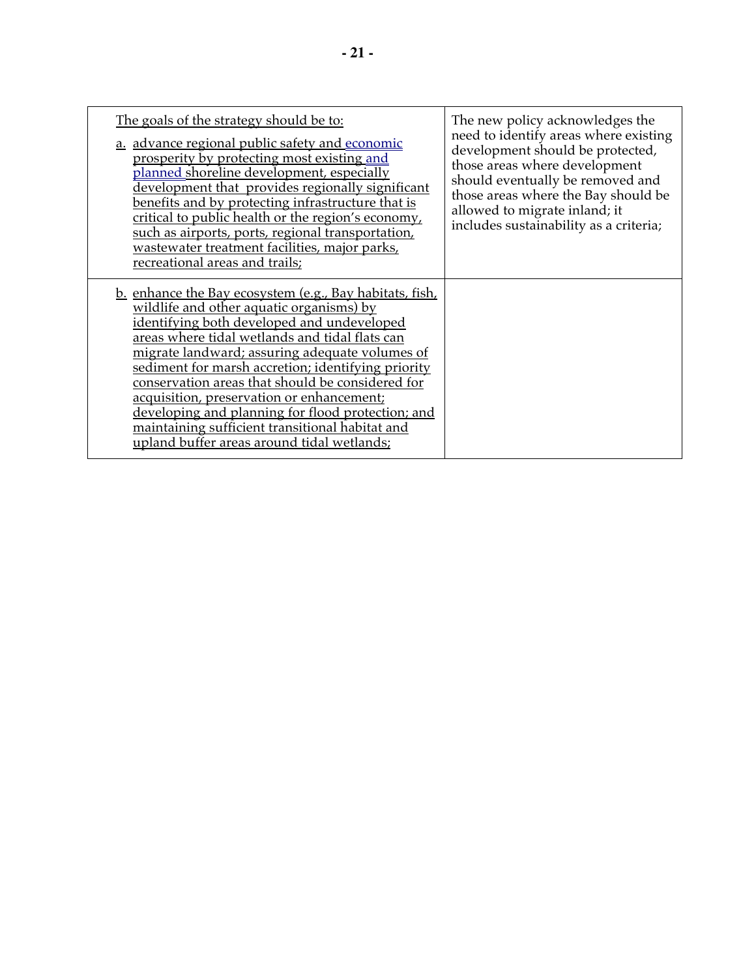| The goals of the strategy should be to:<br>a. advance regional public safety and economic<br>prosperity by protecting most existing and<br>planned shoreline development, especially<br>development that provides regionally significant<br>benefits and by protecting infrastructure that is<br>critical to public health or the region's economy,<br>such as airports, ports, regional transportation,<br>wastewater treatment facilities, major parks,<br>recreational areas and trails;                                                                               | The new policy acknowledges the<br>need to identify areas where existing<br>development should be protected,<br>those areas where development<br>should eventually be removed and<br>those areas where the Bay should be<br>allowed to migrate inland; it<br>includes sustainability as a criteria; |
|---------------------------------------------------------------------------------------------------------------------------------------------------------------------------------------------------------------------------------------------------------------------------------------------------------------------------------------------------------------------------------------------------------------------------------------------------------------------------------------------------------------------------------------------------------------------------|-----------------------------------------------------------------------------------------------------------------------------------------------------------------------------------------------------------------------------------------------------------------------------------------------------|
| <u>b. enhance the Bay ecosystem (e.g., Bay habitats, fish,</u><br>wildlife and other aquatic organisms) by<br>identifying both developed and undeveloped<br>areas where tidal wetlands and tidal flats can<br>migrate landward; assuring adequate volumes of<br>sediment for marsh accretion; identifying priority<br>conservation areas that should be considered for<br>acquisition, preservation or enhancement;<br>developing and planning for flood protection; and<br>maintaining sufficient transitional habitat and<br>upland buffer areas around tidal wetlands; |                                                                                                                                                                                                                                                                                                     |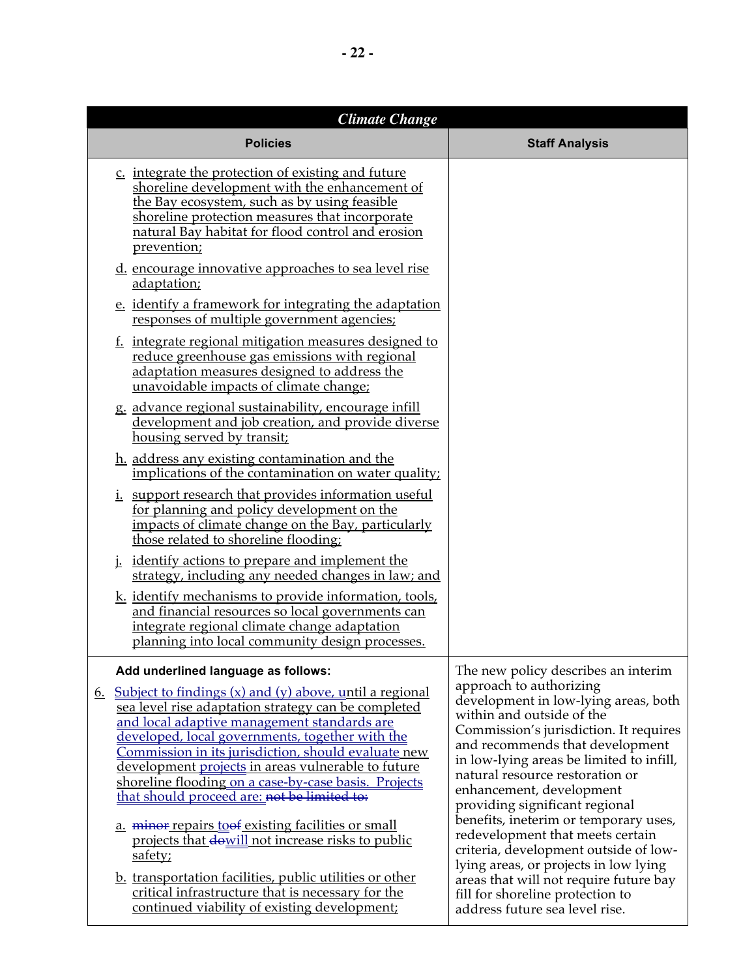| <b>Climate Change</b><br><b>Policies</b>                                                                                                                                                                                                                                                                                                                                                                                                                                                                                                                                                                                                                                                                                                                                                                         | <b>Staff Analysis</b>                                                                                                                                                                                                                                                                                                                                                                                                                                                                                                                                                                                                                        |
|------------------------------------------------------------------------------------------------------------------------------------------------------------------------------------------------------------------------------------------------------------------------------------------------------------------------------------------------------------------------------------------------------------------------------------------------------------------------------------------------------------------------------------------------------------------------------------------------------------------------------------------------------------------------------------------------------------------------------------------------------------------------------------------------------------------|----------------------------------------------------------------------------------------------------------------------------------------------------------------------------------------------------------------------------------------------------------------------------------------------------------------------------------------------------------------------------------------------------------------------------------------------------------------------------------------------------------------------------------------------------------------------------------------------------------------------------------------------|
| c. integrate the protection of existing and future<br>shoreline development with the enhancement of<br>the Bay ecosystem, such as by using feasible<br>shoreline protection measures that incorporate<br>natural Bay habitat for flood control and erosion<br>prevention;                                                                                                                                                                                                                                                                                                                                                                                                                                                                                                                                        |                                                                                                                                                                                                                                                                                                                                                                                                                                                                                                                                                                                                                                              |
| d. encourage innovative approaches to sea level rise<br>adaptation;                                                                                                                                                                                                                                                                                                                                                                                                                                                                                                                                                                                                                                                                                                                                              |                                                                                                                                                                                                                                                                                                                                                                                                                                                                                                                                                                                                                                              |
| e. identify a framework for integrating the adaptation<br>responses of multiple government agencies;                                                                                                                                                                                                                                                                                                                                                                                                                                                                                                                                                                                                                                                                                                             |                                                                                                                                                                                                                                                                                                                                                                                                                                                                                                                                                                                                                                              |
| f. integrate regional mitigation measures designed to<br>reduce greenhouse gas emissions with regional<br>adaptation measures designed to address the<br>unavoidable impacts of climate change;                                                                                                                                                                                                                                                                                                                                                                                                                                                                                                                                                                                                                  |                                                                                                                                                                                                                                                                                                                                                                                                                                                                                                                                                                                                                                              |
| g. advance regional sustainability, encourage infill<br>development and job creation, and provide diverse<br>housing served by transit;                                                                                                                                                                                                                                                                                                                                                                                                                                                                                                                                                                                                                                                                          |                                                                                                                                                                                                                                                                                                                                                                                                                                                                                                                                                                                                                                              |
| h. address any existing contamination and the<br>implications of the contamination on water quality;                                                                                                                                                                                                                                                                                                                                                                                                                                                                                                                                                                                                                                                                                                             |                                                                                                                                                                                                                                                                                                                                                                                                                                                                                                                                                                                                                                              |
| <i>i.</i> support research that provides information useful<br>for planning and policy development on the<br>impacts of climate change on the Bay, particularly<br>those related to shoreline flooding;                                                                                                                                                                                                                                                                                                                                                                                                                                                                                                                                                                                                          |                                                                                                                                                                                                                                                                                                                                                                                                                                                                                                                                                                                                                                              |
| <u>identify actions to prepare and implement the</u><br>strategy, including any needed changes in law; and                                                                                                                                                                                                                                                                                                                                                                                                                                                                                                                                                                                                                                                                                                       |                                                                                                                                                                                                                                                                                                                                                                                                                                                                                                                                                                                                                                              |
| k. identify mechanisms to provide information, tools,<br>and financial resources so local governments can<br>integrate regional climate change adaptation<br>planning into local community design processes.                                                                                                                                                                                                                                                                                                                                                                                                                                                                                                                                                                                                     |                                                                                                                                                                                                                                                                                                                                                                                                                                                                                                                                                                                                                                              |
| Add underlined language as follows:<br><u>Subject to findings <math>(x)</math> and <math>(y)</math> above, until a regional</u><br><u>b.</u><br>sea level rise adaptation strategy can be completed<br>and local adaptive management standards are<br>developed, local governments, together with the<br>Commission in its jurisdiction, should evaluate new<br>development projects in areas vulnerable to future<br>shoreline flooding on a case-by-case basis. Projects<br>that should proceed are: not be limited to:<br>a. minor repairs to be existing facilities or small<br>projects that dowill not increase risks to public<br>safety;<br>b. transportation facilities, public utilities or other<br>critical infrastructure that is necessary for the<br>continued viability of existing development; | The new policy describes an interim<br>approach to authorizing<br>development in low-lying areas, both<br>within and outside of the<br>Commission's jurisdiction. It requires<br>and recommends that development<br>in low-lying areas be limited to infill,<br>natural resource restoration or<br>enhancement, development<br>providing significant regional<br>benefits, ineterim or temporary uses,<br>redevelopment that meets certain<br>criteria, development outside of low-<br>lying areas, or projects in low lying<br>areas that will not require future bay<br>fill for shoreline protection to<br>address future sea level rise. |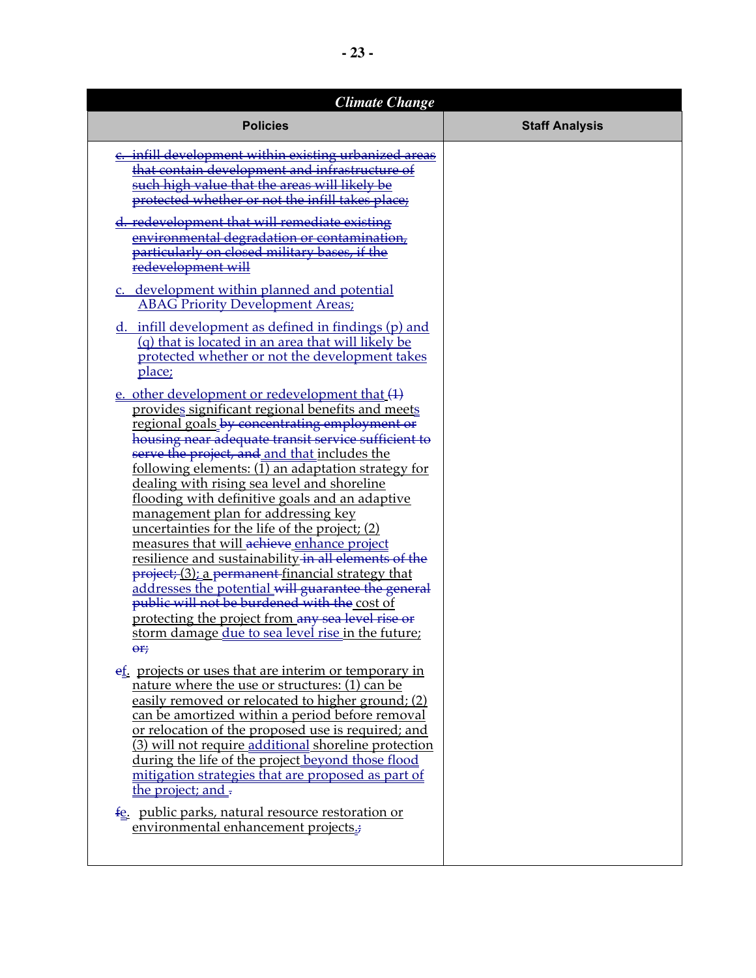| <b>Climate Change</b>                                                                                                                                                                                                                                                                                                                                                                                                                                                                                                                                                                                                                                                                                                                                                                                                                                                                                                    |                       |
|--------------------------------------------------------------------------------------------------------------------------------------------------------------------------------------------------------------------------------------------------------------------------------------------------------------------------------------------------------------------------------------------------------------------------------------------------------------------------------------------------------------------------------------------------------------------------------------------------------------------------------------------------------------------------------------------------------------------------------------------------------------------------------------------------------------------------------------------------------------------------------------------------------------------------|-----------------------|
| <b>Policies</b>                                                                                                                                                                                                                                                                                                                                                                                                                                                                                                                                                                                                                                                                                                                                                                                                                                                                                                          | <b>Staff Analysis</b> |
| e. infill development within existing urbanized areas<br>that contain development and infrastructure of<br>such high value that the areas will likely be<br>protected whether or not the infill takes place;<br>d. redevelopment that will remediate existing<br>environmental degradation or contamination,<br>particularly on closed military bases, if the<br>redevelopment will                                                                                                                                                                                                                                                                                                                                                                                                                                                                                                                                      |                       |
| c. development within planned and potential<br><b>ABAG Priority Development Areas;</b>                                                                                                                                                                                                                                                                                                                                                                                                                                                                                                                                                                                                                                                                                                                                                                                                                                   |                       |
| $d.$ infill development as defined in findings (p) and<br>(q) that is located in an area that will likely be<br>protected whether or not the development takes<br>place;                                                                                                                                                                                                                                                                                                                                                                                                                                                                                                                                                                                                                                                                                                                                                 |                       |
| e. other development or redevelopment that (1)<br>provides significant regional benefits and meets<br>regional goals by concentrating employment or<br>housing near adequate transit service sufficient to<br>serve the project, and and that includes the<br>following elements: (1) an adaptation strategy for<br><u>dealing with rising sea level and shoreline</u><br>flooding with definitive goals and an adaptive<br>management plan for addressing key<br><u>uncertainties for the life of the project; (2)</u><br>measures that will achieve enhance project<br>resilience and sustainability in all elements of the<br>project; (3); a permanent financial strategy that<br>addresses the potential will guarantee the general<br>public will not be burdened with the cost of<br><u>protecting the project from any sea level rise or</u><br>storm damage due to sea level rise in the future;<br>$\Theta$ r; |                       |
| et. projects or uses that are interim or temporary in<br>nature where the use or structures: (1) can be<br>easily removed or relocated to higher ground; (2)<br>can be amortized within a period before removal<br>or relocation of the proposed use is required; and<br>(3) will not require additional shoreline protection<br>during the life of the project beyond those flood<br><u>mitigation strategies that are proposed as part of</u><br>the project; and -<br>fe. public parks, natural resource restoration or<br>environmental enhancement projects.;                                                                                                                                                                                                                                                                                                                                                       |                       |
|                                                                                                                                                                                                                                                                                                                                                                                                                                                                                                                                                                                                                                                                                                                                                                                                                                                                                                                          |                       |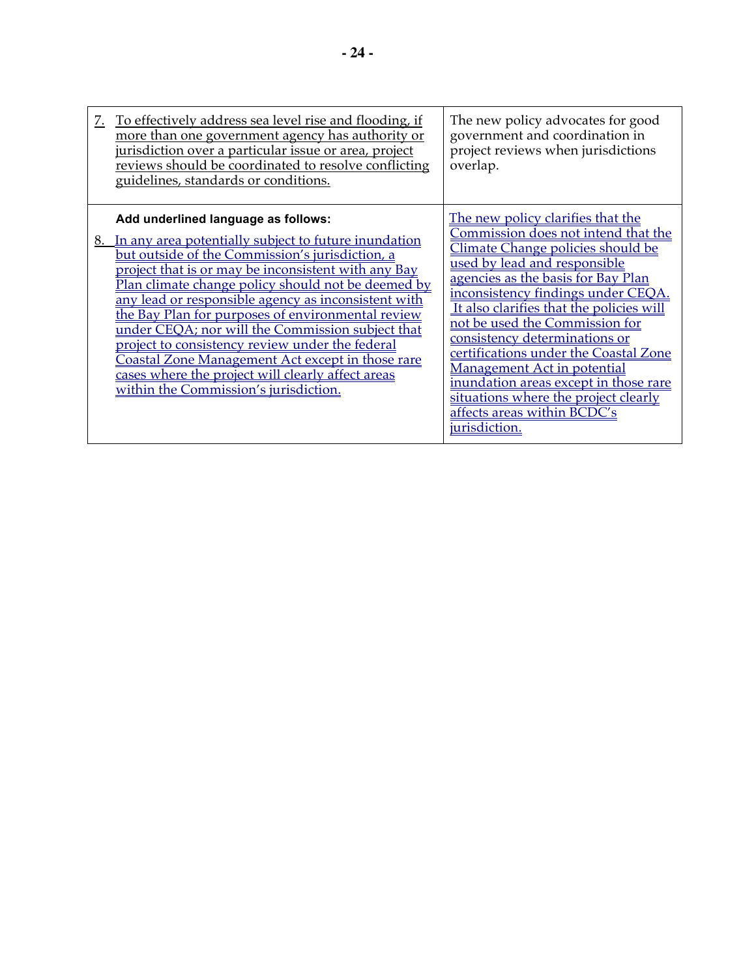| <u>Z.</u> | <u>To effectively address sea level rise and flooding, if</u><br>more than one government agency has authority or<br>jurisdiction over a particular issue or area, project<br>reviews should be coordinated to resolve conflicting<br>guidelines, standards or conditions.                                                                                                                                                                                                                                                                                                                                                                 | The new policy advocates for good<br>government and coordination in<br>project reviews when jurisdictions<br>overlap.                                                                                                                                                                                                                                                                                                                                                                                                                                    |
|-----------|--------------------------------------------------------------------------------------------------------------------------------------------------------------------------------------------------------------------------------------------------------------------------------------------------------------------------------------------------------------------------------------------------------------------------------------------------------------------------------------------------------------------------------------------------------------------------------------------------------------------------------------------|----------------------------------------------------------------------------------------------------------------------------------------------------------------------------------------------------------------------------------------------------------------------------------------------------------------------------------------------------------------------------------------------------------------------------------------------------------------------------------------------------------------------------------------------------------|
|           | Add underlined language as follows:<br>8. In any area potentially subject to future inundation<br>but outside of the Commission's jurisdiction, a<br>project that is or may be inconsistent with any Bay<br><u>Plan climate change policy should not be deemed by</u><br>any lead or responsible agency as inconsistent with<br>the Bay Plan for purposes of environmental review<br>under CEQA; nor will the Commission subject that<br>project to consistency review under the federal<br>Coastal Zone Management Act except in those rare<br>cases where the project will clearly affect areas<br>within the Commission's jurisdiction. | The new policy clarifies that the<br>Commission does not intend that the<br>Climate Change policies should be<br>used by lead and responsible<br>agencies as the basis for Bay Plan<br>inconsistency findings under CEOA.<br>It also clarifies that the policies will<br>not be used the Commission for<br>consistency determinations or<br>certifications under the Coastal Zone<br><b>Management Act in potential</b><br>inundation areas except in those rare<br>situations where the project clearly<br>affects areas within BCDC's<br>jurisdiction. |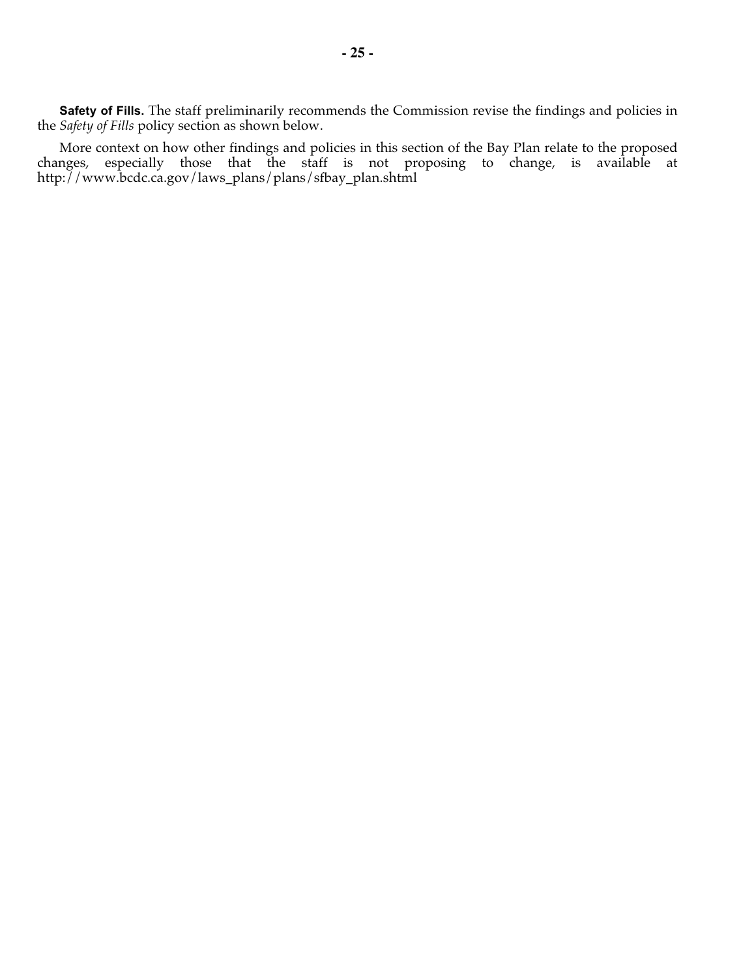**Safety of Fills.** The staff preliminarily recommends the Commission revise the findings and policies in the *Safety of Fills* policy section as shown below.

More context on how other findings and policies in this section of the Bay Plan relate to the proposed changes, especially those that the staff is not proposing to change, is available at http://www.bcdc.ca.gov/laws\_plans/plans/sfbay\_plan.shtml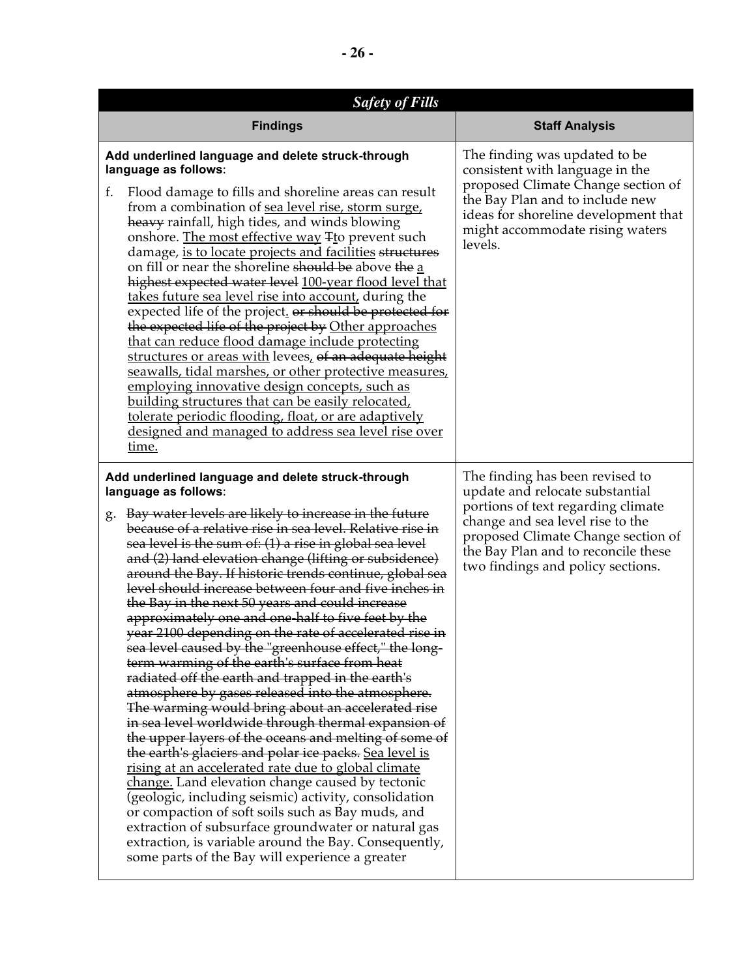| <b>Safety of Fills</b>                                                                                                                                                                                                                                                                                                                                                                                                                                                                                                                                                                                                                                                                                                                                                                                                                                                                                                                                                                                                                                                                                                                                                                                                                                                                                                                                                                                                                                           |                                                                                                                                                                                                                                                                |  |
|------------------------------------------------------------------------------------------------------------------------------------------------------------------------------------------------------------------------------------------------------------------------------------------------------------------------------------------------------------------------------------------------------------------------------------------------------------------------------------------------------------------------------------------------------------------------------------------------------------------------------------------------------------------------------------------------------------------------------------------------------------------------------------------------------------------------------------------------------------------------------------------------------------------------------------------------------------------------------------------------------------------------------------------------------------------------------------------------------------------------------------------------------------------------------------------------------------------------------------------------------------------------------------------------------------------------------------------------------------------------------------------------------------------------------------------------------------------|----------------------------------------------------------------------------------------------------------------------------------------------------------------------------------------------------------------------------------------------------------------|--|
| <b>Findings</b>                                                                                                                                                                                                                                                                                                                                                                                                                                                                                                                                                                                                                                                                                                                                                                                                                                                                                                                                                                                                                                                                                                                                                                                                                                                                                                                                                                                                                                                  | <b>Staff Analysis</b>                                                                                                                                                                                                                                          |  |
| Add underlined language and delete struck-through<br>language as follows:<br>f.<br>Flood damage to fills and shoreline areas can result<br>from a combination of sea level rise, storm surge,<br>heavy rainfall, high tides, and winds blowing<br>onshore. The most effective way Tto prevent such<br>damage, is to locate projects and facilities structures<br>on fill or near the shoreline should be above the a<br>highest expected water level 100-year flood level that<br>takes future sea level rise into account, during the<br>expected life of the project. or should be protected for<br>the expected life of the project by Other approaches<br>that can reduce flood damage include protecting<br>structures or areas with levees, of an adequate height<br>seawalls, tidal marshes, or other protective measures,<br><u>employing innovative design concepts, such as</u><br>building structures that can be easily relocated,<br>tolerate periodic flooding, float, or are adaptively<br>designed and managed to address sea level rise over<br>time.                                                                                                                                                                                                                                                                                                                                                                                           | The finding was updated to be<br>consistent with language in the<br>proposed Climate Change section of<br>the Bay Plan and to include new<br>ideas for shoreline development that<br>might accommodate rising waters<br>levels.                                |  |
| Add underlined language and delete struck-through<br>language as follows:<br>Bay water levels are likely to increase in the future<br>g.<br>because of a relative rise in sea level. Relative rise in<br>sea level is the sum of: (1) a rise in global sea level<br>and (2) land elevation change (lifting or subsidence)<br>around the Bay. If historic trends continue, global sea<br>level should increase between four and five inches in<br>the Bay in the next 50 years and could increase<br>approximately one and one half to five feet by the<br>year 2100 depending on the rate of accelerated rise in<br>sea level caused by the "greenhouse effect," the long-<br>term warming of the earth's surface from heat<br>radiated off the earth and trapped in the earth's<br>atmosphere by gases released into the atmosphere.<br>The warming would bring about an accelerated rise<br>in sea level worldwide through thermal expansion of<br>the upper layers of the oceans and melting of some of<br>the earth's glaciers and polar ice packs. Sea level is<br>rising at an accelerated rate due to global climate<br>change. Land elevation change caused by tectonic<br>(geologic, including seismic) activity, consolidation<br>or compaction of soft soils such as Bay muds, and<br>extraction of subsurface groundwater or natural gas<br>extraction, is variable around the Bay. Consequently,<br>some parts of the Bay will experience a greater | The finding has been revised to<br>update and relocate substantial<br>portions of text regarding climate<br>change and sea level rise to the<br>proposed Climate Change section of<br>the Bay Plan and to reconcile these<br>two findings and policy sections. |  |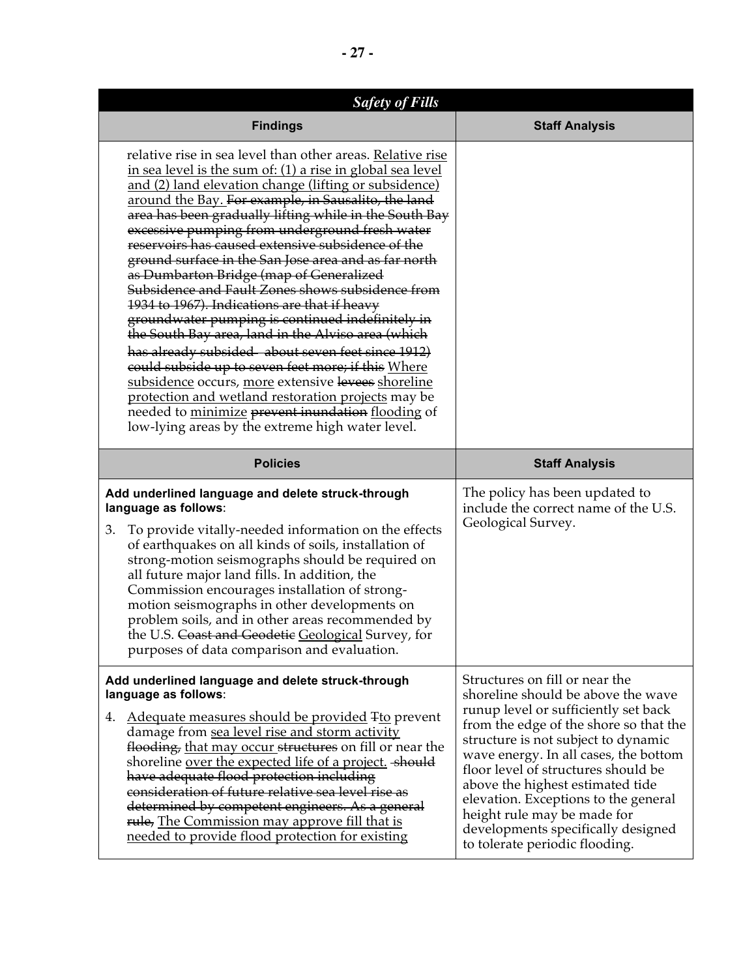| <b>Safety of Fills</b>                                                                                                                                                                                                                                                                                                                                                                                                                                                                                                                                                                                                                                                                                                                                                                                                                                                                                                                                                                                                                                            |                                                                            |
|-------------------------------------------------------------------------------------------------------------------------------------------------------------------------------------------------------------------------------------------------------------------------------------------------------------------------------------------------------------------------------------------------------------------------------------------------------------------------------------------------------------------------------------------------------------------------------------------------------------------------------------------------------------------------------------------------------------------------------------------------------------------------------------------------------------------------------------------------------------------------------------------------------------------------------------------------------------------------------------------------------------------------------------------------------------------|----------------------------------------------------------------------------|
| <b>Findings</b>                                                                                                                                                                                                                                                                                                                                                                                                                                                                                                                                                                                                                                                                                                                                                                                                                                                                                                                                                                                                                                                   | <b>Staff Analysis</b>                                                      |
| relative rise in sea level than other areas. Relative rise<br>in sea level is the sum of: (1) a rise in global sea level<br><u>and (2) land elevation change (lifting or subsidence)</u><br>around the Bay. For example, in Sausalito, the land<br>area has been gradually lifting while in the South Bay<br>excessive pumping from underground fresh water<br>reservoirs has caused extensive subsidence of the<br>ground surface in the San Jose area and as far north<br>as Dumbarton Bridge (map of Generalized<br>Subsidence and Fault Zones shows subsidence from<br>1934 to 1967). Indications are that if heavy<br>groundwater pumping is continued indefinitely in<br>the South Bay area, land in the Alviso area (which<br>has already subsided about seven feet since 1912)<br>could subside up to seven feet more; if this Where<br>subsidence occurs, more extensive levees shoreline<br>protection and wetland restoration projects may be<br>needed to minimize prevent inundation flooding of<br>low-lying areas by the extreme high water level. |                                                                            |
| <b>Policies</b>                                                                                                                                                                                                                                                                                                                                                                                                                                                                                                                                                                                                                                                                                                                                                                                                                                                                                                                                                                                                                                                   | <b>Staff Analysis</b>                                                      |
| Add underlined language and delete struck-through<br>language as follows:                                                                                                                                                                                                                                                                                                                                                                                                                                                                                                                                                                                                                                                                                                                                                                                                                                                                                                                                                                                         | The policy has been updated to<br>include the correct name of the U.S.     |
| To provide vitally-needed information on the effects<br>3.<br>of earthquakes on all kinds of soils, installation of<br>strong-motion seismographs should be required on<br>all future major land fills. In addition, the<br>Commission encourages installation of strong-<br>motion seismographs in other developments on<br>problem soils, and in other areas recommended by<br>the U.S. Coast and Geodetic Geological Survey, for<br>purposes of data comparison and evaluation.                                                                                                                                                                                                                                                                                                                                                                                                                                                                                                                                                                                | Geological Survey.                                                         |
| Add underlined language and delete struck-through<br>language as follows:                                                                                                                                                                                                                                                                                                                                                                                                                                                                                                                                                                                                                                                                                                                                                                                                                                                                                                                                                                                         | Structures on fill or near the                                             |
|                                                                                                                                                                                                                                                                                                                                                                                                                                                                                                                                                                                                                                                                                                                                                                                                                                                                                                                                                                                                                                                                   | shoreline should be above the wave<br>runup level or sufficiently set back |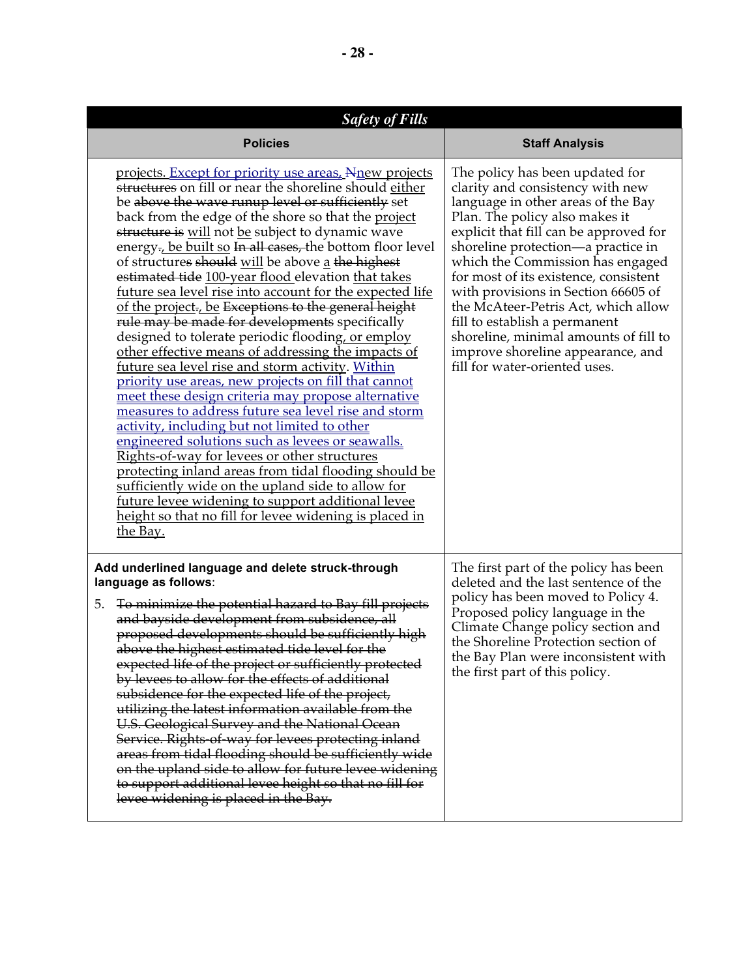| <b>Safety of Fills</b>                                                                                                                                                                                                                                                                                                                                                                                                                                                                                                                                                                                                                                                                                                                                                                                                                                                                                                                                                                                                                                                                                                                                                                                                                                                                                                                                                       |                                                                                                                                                                                                                                                                                                                                                                                                                                                                                                                                        |
|------------------------------------------------------------------------------------------------------------------------------------------------------------------------------------------------------------------------------------------------------------------------------------------------------------------------------------------------------------------------------------------------------------------------------------------------------------------------------------------------------------------------------------------------------------------------------------------------------------------------------------------------------------------------------------------------------------------------------------------------------------------------------------------------------------------------------------------------------------------------------------------------------------------------------------------------------------------------------------------------------------------------------------------------------------------------------------------------------------------------------------------------------------------------------------------------------------------------------------------------------------------------------------------------------------------------------------------------------------------------------|----------------------------------------------------------------------------------------------------------------------------------------------------------------------------------------------------------------------------------------------------------------------------------------------------------------------------------------------------------------------------------------------------------------------------------------------------------------------------------------------------------------------------------------|
| <b>Policies</b>                                                                                                                                                                                                                                                                                                                                                                                                                                                                                                                                                                                                                                                                                                                                                                                                                                                                                                                                                                                                                                                                                                                                                                                                                                                                                                                                                              | <b>Staff Analysis</b>                                                                                                                                                                                                                                                                                                                                                                                                                                                                                                                  |
| projects. Except for priority use areas, Nnew projects<br>structures on fill or near the shoreline should either<br>be above the wave runup level or sufficiently set<br>back from the edge of the shore so that the project<br>structure is will not be subject to dynamic wave<br>energy-, be built so In all cases, the bottom floor level<br>of structures should will be above a the highest<br>estimated tide 100-year flood elevation that takes<br>future sea level rise into account for the expected life<br>of the project-, be Exceptions to the general height<br>rule may be made for developments specifically<br>designed to tolerate periodic flooding, or employ<br>other effective means of addressing the impacts of<br>future sea level rise and storm activity. Within<br>priority use areas, new projects on fill that cannot<br>meet these design criteria may propose alternative<br>measures to address future sea level rise and storm<br>activity, including but not limited to other<br>engineered solutions such as levees or seawalls.<br><u>Rights-of-way for levees or other structures</u><br>protecting inland areas from tidal flooding should be<br>sufficiently wide on the upland side to allow for<br>future levee widening to support additional levee<br><u>height so that no fill for levee widening is placed in</u><br>the Bay. | The policy has been updated for<br>clarity and consistency with new<br>language in other areas of the Bay<br>Plan. The policy also makes it<br>explicit that fill can be approved for<br>shoreline protection-a practice in<br>which the Commission has engaged<br>for most of its existence, consistent<br>with provisions in Section 66605 of<br>the McAteer-Petris Act, which allow<br>fill to establish a permanent<br>shoreline, minimal amounts of fill to<br>improve shoreline appearance, and<br>fill for water-oriented uses. |
| Add underlined language and delete struck-through<br>language as follows:<br>To minimize the potential hazard to Bay fill projects<br>5.<br>and bayside development from subsidence, all<br>proposed developments should be sufficiently high<br>above the highest estimated tide level for the<br>expected life of the project or sufficiently protected<br>by levees to allow for the effects of additional<br>subsidence for the expected life of the project,<br>utilizing the latest information available from the<br>U.S. Geological Survey and the National Ocean<br>Service. Rights-of-way for levees protecting inland<br>areas from tidal flooding should be sufficiently wide<br>on the upland side to allow for future levee widening<br>to support additional levee height so that no fill for<br>levee widening is placed in the Bay.                                                                                                                                                                                                                                                                                                                                                                                                                                                                                                                         | The first part of the policy has been<br>deleted and the last sentence of the<br>policy has been moved to Policy 4.<br>Proposed policy language in the<br>Climate Change policy section and<br>the Shoreline Protection section of<br>the Bay Plan were inconsistent with<br>the first part of this policy.                                                                                                                                                                                                                            |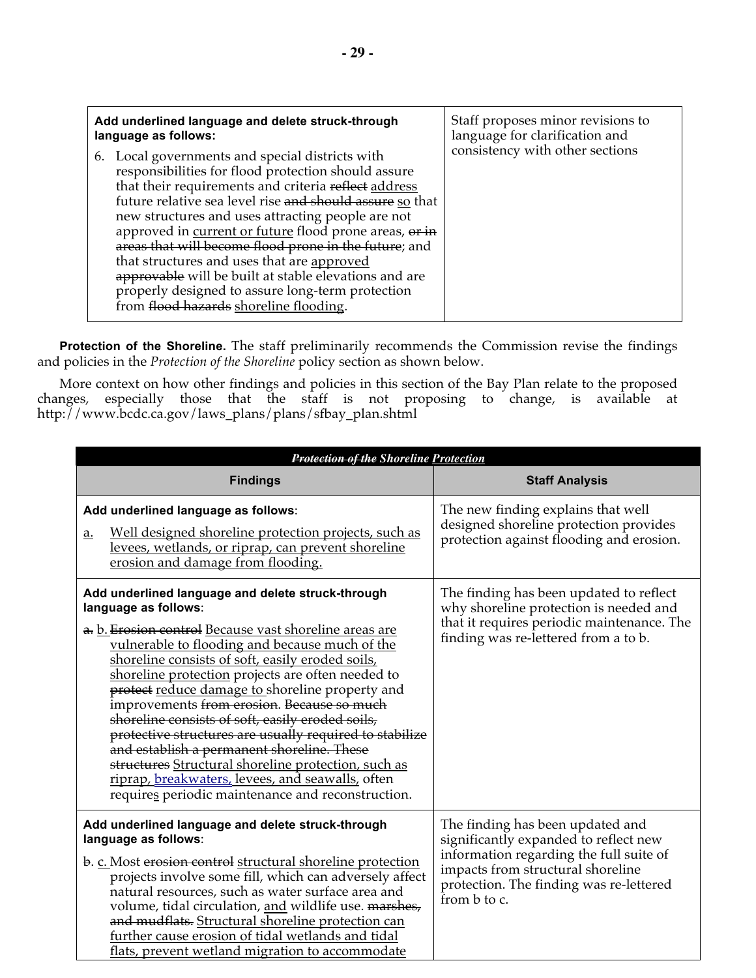| Add underlined language and delete struck-through                                                                                                                                                                                                                                                                                                                                                                                                                                                                                                                                                       | Staff proposes minor revisions to |
|---------------------------------------------------------------------------------------------------------------------------------------------------------------------------------------------------------------------------------------------------------------------------------------------------------------------------------------------------------------------------------------------------------------------------------------------------------------------------------------------------------------------------------------------------------------------------------------------------------|-----------------------------------|
| language as follows:                                                                                                                                                                                                                                                                                                                                                                                                                                                                                                                                                                                    | language for clarification and    |
| 6. Local governments and special districts with<br>responsibilities for flood protection should assure<br>that their requirements and criteria reflect address<br>future relative sea level rise and should assure so that<br>new structures and uses attracting people are not<br>approved in current or future flood prone areas, or in<br>areas that will become flood prone in the future; and<br>that structures and uses that are approved<br>approvable will be built at stable elevations and are<br>properly designed to assure long-term protection<br>from flood hazards shoreline flooding. | consistency with other sections   |

**Protection of the Shoreline.** The staff preliminarily recommends the Commission revise the findings and policies in the *Protection of the Shoreline* policy section as shown below.

More context on how other findings and policies in this section of the Bay Plan relate to the proposed changes, especially those that the staff is not proposing to change, is available at http://www.bcdc.ca.gov/laws\_plans/plans/sfbay\_plan.shtml

| <b>Protection of the Shoreline Protection</b>                                                                                                                                                                                                                                                                                                                                                                                                                                                                                                                                                                                                                                                                                |                                                                                                                                                                                                                      |
|------------------------------------------------------------------------------------------------------------------------------------------------------------------------------------------------------------------------------------------------------------------------------------------------------------------------------------------------------------------------------------------------------------------------------------------------------------------------------------------------------------------------------------------------------------------------------------------------------------------------------------------------------------------------------------------------------------------------------|----------------------------------------------------------------------------------------------------------------------------------------------------------------------------------------------------------------------|
| <b>Findings</b>                                                                                                                                                                                                                                                                                                                                                                                                                                                                                                                                                                                                                                                                                                              | <b>Staff Analysis</b>                                                                                                                                                                                                |
| Add underlined language as follows:<br>Well designed shoreline protection projects, such as<br><u>a.</u><br>levees, wetlands, or riprap, can prevent shoreline<br>erosion and damage from flooding.                                                                                                                                                                                                                                                                                                                                                                                                                                                                                                                          | The new finding explains that well<br>designed shoreline protection provides<br>protection against flooding and erosion.                                                                                             |
| Add underlined language and delete struck-through<br>language as follows:<br>a. b. Erosion control Because vast shoreline areas are<br>vulnerable to flooding and because much of the<br>shoreline consists of soft, easily eroded soils,<br>shoreline protection projects are often needed to<br>protect reduce damage to shoreline property and<br>improvements from erosion. Because so much<br>shoreline consists of soft, easily eroded soils,<br>protective structures are usually required to stabilize<br>and establish a permanent shoreline. These<br>structures Structural shoreline protection, such as<br>riprap, breakwaters, levees, and seawalls, often<br>requires periodic maintenance and reconstruction. | The finding has been updated to reflect<br>why shoreline protection is needed and<br>that it requires periodic maintenance. The<br>finding was re-lettered from a to b.                                              |
| Add underlined language and delete struck-through<br>language as follows:<br>b. c. Most erosion control structural shoreline protection<br>projects involve some fill, which can adversely affect<br>natural resources, such as water surface area and<br>volume, tidal circulation, and wildlife use. marshes,<br>and mudflats. Structural shoreline protection can<br>further cause erosion of tidal wetlands and tidal<br>flats, prevent wetland migration to accommodate                                                                                                                                                                                                                                                 | The finding has been updated and<br>significantly expanded to reflect new<br>information regarding the full suite of<br>impacts from structural shoreline<br>protection. The finding was re-lettered<br>from b to c. |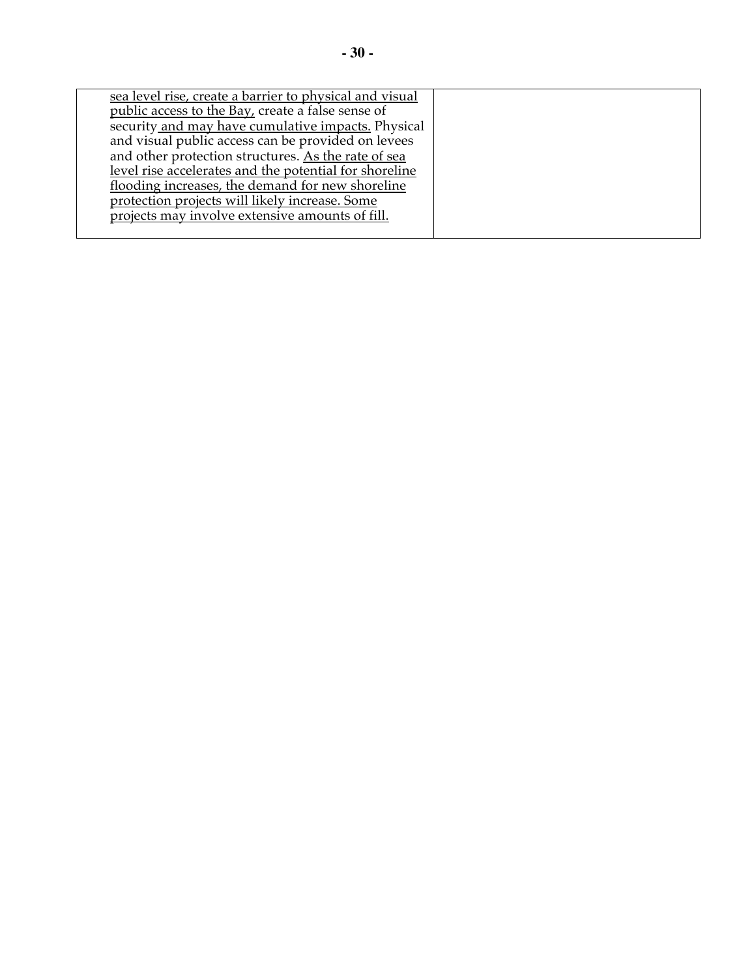| sea level rise, create a barrier to physical and visual |  |
|---------------------------------------------------------|--|
|                                                         |  |
| public access to the Bay, create a false sense of       |  |
| security and may have cumulative impacts. Physical      |  |
| and visual public access can be provided on levees      |  |
| and other protection structures. As the rate of sea     |  |
| level rise accelerates and the potential for shoreline  |  |
| flooding increases, the demand for new shoreline        |  |
| protection projects will likely increase. Some          |  |
| projects may involve extensive amounts of fill.         |  |
|                                                         |  |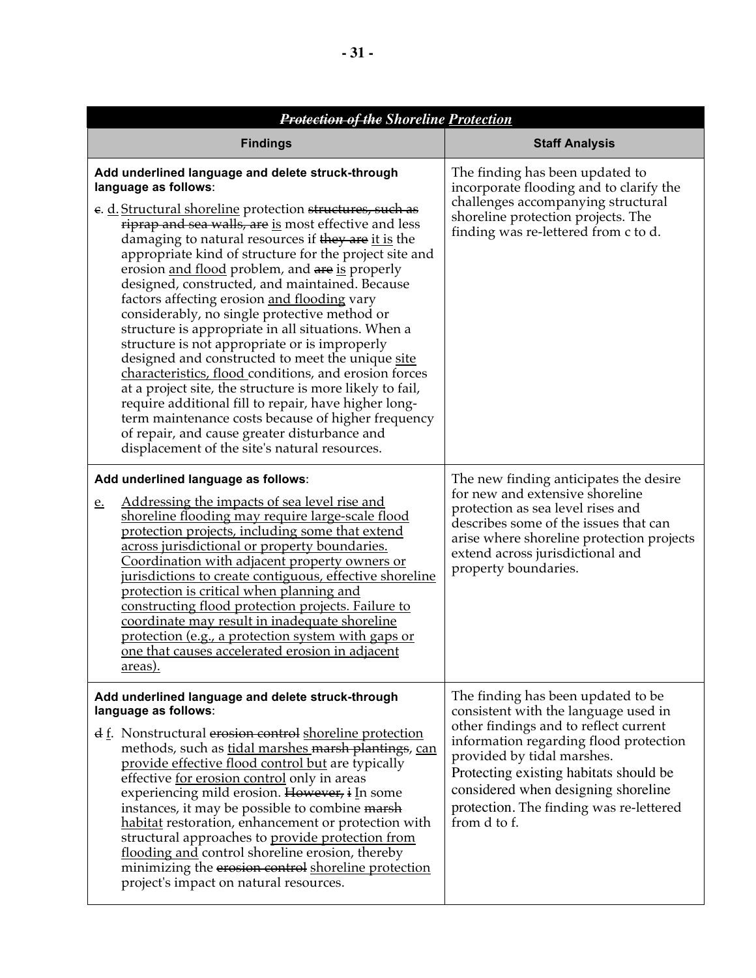| <b>Protection of the Shoreline Protection</b>                                                                                                                                                                                                                                                                                                                                                                                                                                                                                                                                                                                                                                                                                                                                                                                                                                                                                                                                                                     |                                                                                                                                                                                                                                                                                                                                         |  |
|-------------------------------------------------------------------------------------------------------------------------------------------------------------------------------------------------------------------------------------------------------------------------------------------------------------------------------------------------------------------------------------------------------------------------------------------------------------------------------------------------------------------------------------------------------------------------------------------------------------------------------------------------------------------------------------------------------------------------------------------------------------------------------------------------------------------------------------------------------------------------------------------------------------------------------------------------------------------------------------------------------------------|-----------------------------------------------------------------------------------------------------------------------------------------------------------------------------------------------------------------------------------------------------------------------------------------------------------------------------------------|--|
| <b>Findings</b>                                                                                                                                                                                                                                                                                                                                                                                                                                                                                                                                                                                                                                                                                                                                                                                                                                                                                                                                                                                                   | <b>Staff Analysis</b>                                                                                                                                                                                                                                                                                                                   |  |
| Add underlined language and delete struck-through<br>language as follows:<br>e. d. Structural shoreline protection structures, such as<br>riprap and sea walls, are is most effective and less<br>damaging to natural resources if they are it is the<br>appropriate kind of structure for the project site and<br>erosion and flood problem, and are is properly<br>designed, constructed, and maintained. Because<br>factors affecting erosion and flooding vary<br>considerably, no single protective method or<br>structure is appropriate in all situations. When a<br>structure is not appropriate or is improperly<br>designed and constructed to meet the unique site<br>characteristics, flood conditions, and erosion forces<br>at a project site, the structure is more likely to fail,<br>require additional fill to repair, have higher long-<br>term maintenance costs because of higher frequency<br>of repair, and cause greater disturbance and<br>displacement of the site's natural resources. | The finding has been updated to<br>incorporate flooding and to clarify the<br>challenges accompanying structural<br>shoreline protection projects. The<br>finding was re-lettered from c to d.                                                                                                                                          |  |
| Add underlined language as follows:<br><u>Addressing the impacts of sea level rise and</u><br><u>e.</u><br>shoreline flooding may require large-scale flood<br>protection projects, including some that extend<br>across jurisdictional or property boundaries.<br>Coordination with adjacent property owners or<br>jurisdictions to create contiguous, effective shoreline<br>protection is critical when planning and<br>constructing flood protection projects. Failure to<br>coordinate may result in inadequate shoreline<br>protection (e.g., a protection system with gaps or<br>one that causes accelerated erosion in adjacent<br><u>areas).</u>                                                                                                                                                                                                                                                                                                                                                         | The new finding anticipates the desire<br>for new and extensive shoreline<br>protection as sea level rises and<br>describes some of the issues that can<br>arise where shoreline protection projects<br>extend across jurisdictional and<br>property boundaries.                                                                        |  |
| Add underlined language and delete struck-through<br>language as follows:<br>$\frac{d}{dx}$ . Nonstructural erosion control shoreline protection<br>methods, such as tidal marshes marsh plantings, can<br>provide effective flood control but are typically<br>effective for erosion control only in areas<br>experiencing mild erosion. However, i In some<br>instances, it may be possible to combine marsh<br>habitat restoration, enhancement or protection with<br>structural approaches to provide protection from<br>flooding and control shoreline erosion, thereby<br>minimizing the erosion control shoreline protection<br>project's impact on natural resources.                                                                                                                                                                                                                                                                                                                                     | The finding has been updated to be<br>consistent with the language used in<br>other findings and to reflect current<br>information regarding flood protection<br>provided by tidal marshes.<br>Protecting existing habitats should be<br>considered when designing shoreline<br>protection. The finding was re-lettered<br>from d to f. |  |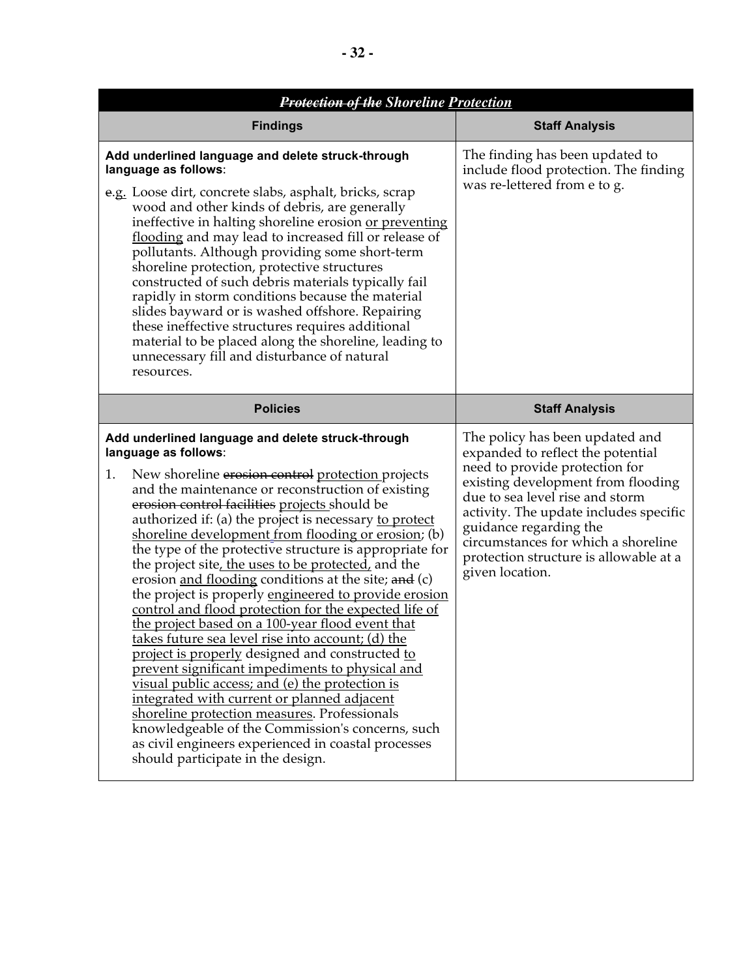| <b>Protection of the Shoreline Protection</b>                                                                                                                                                                                                                                                                                                                                                                                                                                                                                                                                                                                                                                                                                                                                                                                                                                                                                                                                                                                                                                                                                                                                   |                                                                                                                                                                                                                                                                                                                                                         |
|---------------------------------------------------------------------------------------------------------------------------------------------------------------------------------------------------------------------------------------------------------------------------------------------------------------------------------------------------------------------------------------------------------------------------------------------------------------------------------------------------------------------------------------------------------------------------------------------------------------------------------------------------------------------------------------------------------------------------------------------------------------------------------------------------------------------------------------------------------------------------------------------------------------------------------------------------------------------------------------------------------------------------------------------------------------------------------------------------------------------------------------------------------------------------------|---------------------------------------------------------------------------------------------------------------------------------------------------------------------------------------------------------------------------------------------------------------------------------------------------------------------------------------------------------|
| <b>Findings</b>                                                                                                                                                                                                                                                                                                                                                                                                                                                                                                                                                                                                                                                                                                                                                                                                                                                                                                                                                                                                                                                                                                                                                                 | <b>Staff Analysis</b>                                                                                                                                                                                                                                                                                                                                   |
| Add underlined language and delete struck-through<br>language as follows:<br>e.g. Loose dirt, concrete slabs, asphalt, bricks, scrap<br>wood and other kinds of debris, are generally<br>ineffective in halting shoreline erosion or preventing<br>flooding and may lead to increased fill or release of<br>pollutants. Although providing some short-term<br>shoreline protection, protective structures<br>constructed of such debris materials typically fail<br>rapidly in storm conditions because the material<br>slides bayward or is washed offshore. Repairing<br>these ineffective structures requires additional<br>material to be placed along the shoreline, leading to<br>unnecessary fill and disturbance of natural<br>resources.                                                                                                                                                                                                                                                                                                                                                                                                                               | The finding has been updated to<br>include flood protection. The finding<br>was re-lettered from e to g.                                                                                                                                                                                                                                                |
| <b>Policies</b>                                                                                                                                                                                                                                                                                                                                                                                                                                                                                                                                                                                                                                                                                                                                                                                                                                                                                                                                                                                                                                                                                                                                                                 | <b>Staff Analysis</b>                                                                                                                                                                                                                                                                                                                                   |
| Add underlined language and delete struck-through<br>language as follows:<br>New shoreline erosion control protection projects<br>1.<br>and the maintenance or reconstruction of existing<br>erosion control facilities projects should be<br>authorized if: (a) the project is necessary to protect<br>shoreline development from flooding or erosion; (b)<br>the type of the protective structure is appropriate for<br>the project site, the uses to be protected, and the<br>erosion and flooding conditions at the site; and (c)<br>the project is properly engineered to provide erosion<br>control and flood protection for the expected life of<br><u>the project based on a 100-year flood event that</u><br>takes future sea level rise into account; (d) the<br>project is properly designed and constructed to<br>prevent significant impediments to physical and<br>visual public access; and (e) the protection is<br>integrated with current or planned adjacent<br>shoreline protection measures. Professionals<br>knowledgeable of the Commission's concerns, such<br>as civil engineers experienced in coastal processes<br>should participate in the design. | The policy has been updated and<br>expanded to reflect the potential<br>need to provide protection for<br>existing development from flooding<br>due to sea level rise and storm<br>activity. The update includes specific<br>guidance regarding the<br>circumstances for which a shoreline<br>protection structure is allowable at a<br>given location. |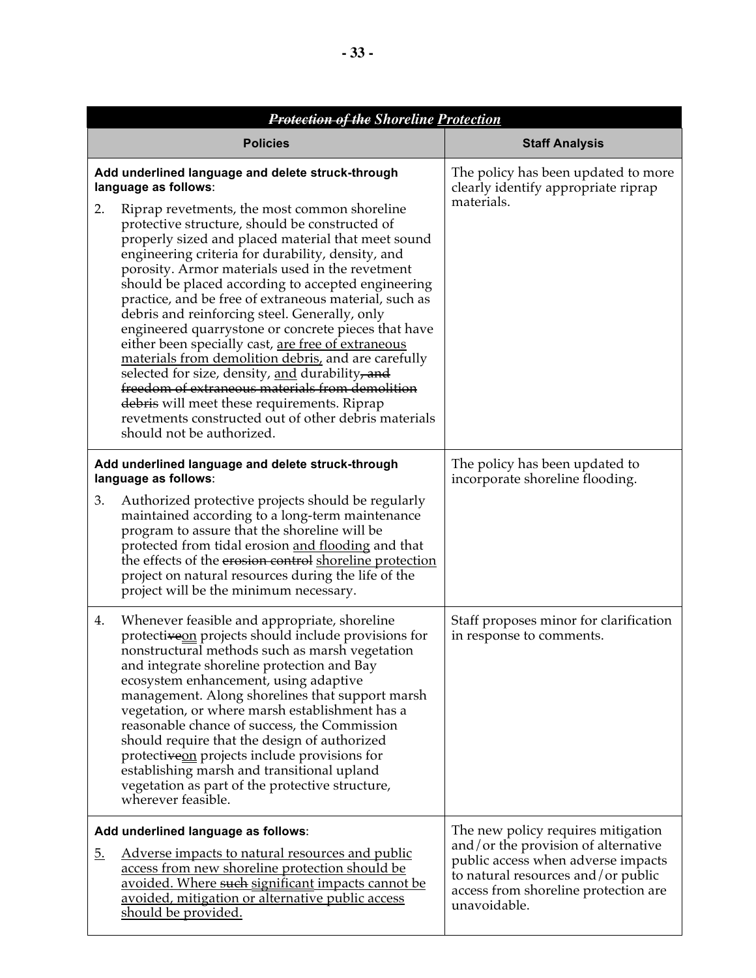| <b>Protection of the Shoreline Protection</b>                                                                                                                                                                                                                                                                                                                                                                                                                                                                                                                                                                                                                                                                                                                                                                                                                                                                                 |                                                                                                                                                                                                               |
|-------------------------------------------------------------------------------------------------------------------------------------------------------------------------------------------------------------------------------------------------------------------------------------------------------------------------------------------------------------------------------------------------------------------------------------------------------------------------------------------------------------------------------------------------------------------------------------------------------------------------------------------------------------------------------------------------------------------------------------------------------------------------------------------------------------------------------------------------------------------------------------------------------------------------------|---------------------------------------------------------------------------------------------------------------------------------------------------------------------------------------------------------------|
| <b>Policies</b>                                                                                                                                                                                                                                                                                                                                                                                                                                                                                                                                                                                                                                                                                                                                                                                                                                                                                                               | <b>Staff Analysis</b>                                                                                                                                                                                         |
| Add underlined language and delete struck-through<br>language as follows:<br>Riprap revetments, the most common shoreline<br>2.<br>protective structure, should be constructed of<br>properly sized and placed material that meet sound<br>engineering criteria for durability, density, and<br>porosity. Armor materials used in the revetment<br>should be placed according to accepted engineering<br>practice, and be free of extraneous material, such as<br>debris and reinforcing steel. Generally, only<br>engineered quarrystone or concrete pieces that have<br>either been specially cast, are free of extraneous<br>materials from demolition debris, and are carefully<br>selected for size, density, and durability, and<br>freedom of extraneous materials from demolition<br>debris will meet these requirements. Riprap<br>revetments constructed out of other debris materials<br>should not be authorized. | The policy has been updated to more<br>clearly identify appropriate riprap<br>materials.                                                                                                                      |
| Add underlined language and delete struck-through<br>language as follows:<br>Authorized protective projects should be regularly<br>3.<br>maintained according to a long-term maintenance<br>program to assure that the shoreline will be<br>protected from tidal erosion and flooding and that<br>the effects of the erosion control shoreline protection<br>project on natural resources during the life of the<br>project will be the minimum necessary.                                                                                                                                                                                                                                                                                                                                                                                                                                                                    | The policy has been updated to<br>incorporate shoreline flooding.                                                                                                                                             |
| Whenever feasible and appropriate, shoreline<br>4.<br>protectiveon projects should include provisions for<br>nonstructural methods such as marsh vegetation<br>and integrate shoreline protection and Bay<br>ecosystem enhancement, using adaptive<br>management. Along shorelines that support marsh<br>vegetation, or where marsh establishment has a<br>reasonable chance of success, the Commission<br>should require that the design of authorized<br>protectiveon projects include provisions for<br>establishing marsh and transitional upland<br>vegetation as part of the protective structure,<br>wherever feasible.                                                                                                                                                                                                                                                                                                | Staff proposes minor for clarification<br>in response to comments.                                                                                                                                            |
| Add underlined language as follows:<br><u>Adverse impacts to natural resources and public</u><br><u>5.</u><br>access from new shoreline protection should be<br>avoided. Where such significant impacts cannot be<br>avoided, mitigation or alternative public access<br><u>should be provided.</u>                                                                                                                                                                                                                                                                                                                                                                                                                                                                                                                                                                                                                           | The new policy requires mitigation<br>and/or the provision of alternative<br>public access when adverse impacts<br>to natural resources and/or public<br>access from shoreline protection are<br>unavoidable. |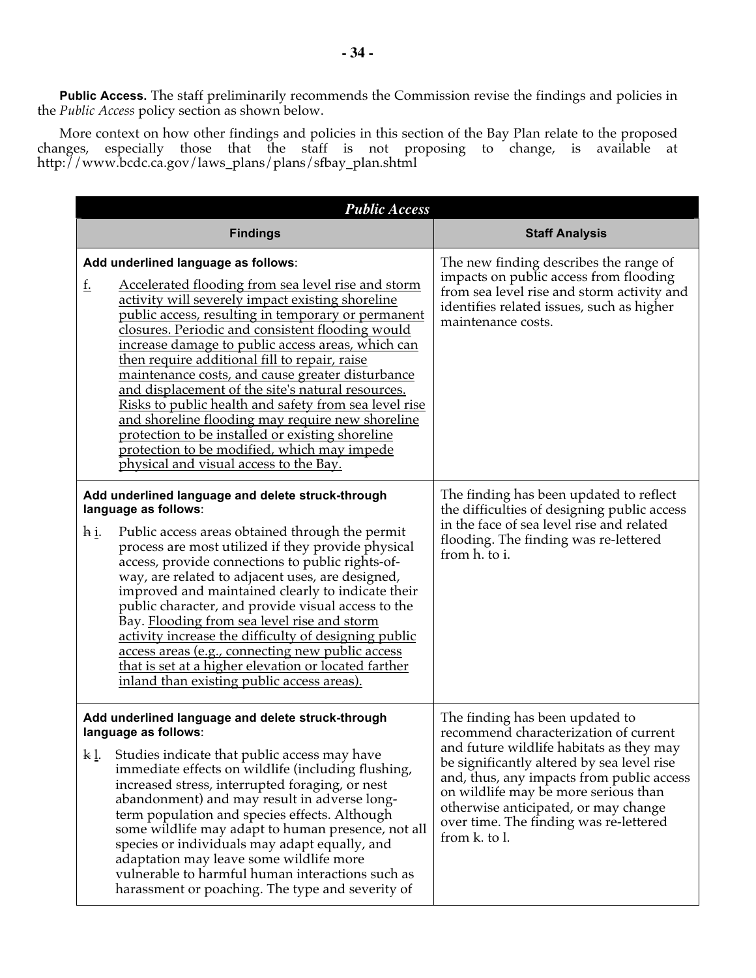**Public Access.** The staff preliminarily recommends the Commission revise the findings and policies in the *Public Access* policy section as shown below.

More context on how other findings and policies in this section of the Bay Plan relate to the proposed changes, especially those that the staff is not proposing to change, is available at http://www.bcdc.ca.gov/laws\_plans/plans/sfbay\_plan.shtml

|              | <b>Public Access</b>                                                                                                                                                                                                                                                                                                                                                                                                                                                                                                                                                                                                                                                                                                             |                                                                                                                                                                                                                                                                                                                                                            |
|--------------|----------------------------------------------------------------------------------------------------------------------------------------------------------------------------------------------------------------------------------------------------------------------------------------------------------------------------------------------------------------------------------------------------------------------------------------------------------------------------------------------------------------------------------------------------------------------------------------------------------------------------------------------------------------------------------------------------------------------------------|------------------------------------------------------------------------------------------------------------------------------------------------------------------------------------------------------------------------------------------------------------------------------------------------------------------------------------------------------------|
|              | <b>Findings</b>                                                                                                                                                                                                                                                                                                                                                                                                                                                                                                                                                                                                                                                                                                                  | <b>Staff Analysis</b>                                                                                                                                                                                                                                                                                                                                      |
| <u>f.</u>    | Add underlined language as follows:<br>Accelerated flooding from sea level rise and storm<br>activity will severely impact existing shoreline<br>public access, resulting in temporary or permanent<br>closures. Periodic and consistent flooding would<br>increase damage to public access areas, which can<br>then require additional fill to repair, raise<br>maintenance costs, and cause greater disturbance<br>and displacement of the site's natural resources.<br>Risks to public health and safety from sea level rise<br>and shoreline flooding may require new shoreline<br>protection to be installed or existing shoreline<br>protection to be modified, which may impede<br>physical and visual access to the Bay. | The new finding describes the range of<br>impacts on public access from flooding<br>from sea level rise and storm activity and<br>identifies related issues, such as higher<br>maintenance costs.                                                                                                                                                          |
| <u>h i.</u>  | Add underlined language and delete struck-through<br>language as follows:<br>Public access areas obtained through the permit<br>process are most utilized if they provide physical<br>access, provide connections to public rights-of-<br>way, are related to adjacent uses, are designed,<br>improved and maintained clearly to indicate their<br>public character, and provide visual access to the<br>Bay. Flooding from sea level rise and storm<br>activity increase the difficulty of designing public<br>access areas (e.g., connecting new public access<br>that is set at a higher elevation or located farther<br>inland than existing public access areas).                                                           | The finding has been updated to reflect<br>the difficulties of designing public access<br>in the face of sea level rise and related<br>flooding. The finding was re-lettered<br>from h. to i.                                                                                                                                                              |
| <u>k l</u> . | Add underlined language and delete struck-through<br>language as follows:<br>Studies indicate that public access may have<br>immediate effects on wildlife (including flushing,<br>increased stress, interrupted foraging, or nest<br>abandonment) and may result in adverse long-<br>term population and species effects. Although<br>some wildlife may adapt to human presence, not all<br>species or individuals may adapt equally, and<br>adaptation may leave some wildlife more<br>vulnerable to harmful human interactions such as<br>harassment or poaching. The type and severity of                                                                                                                                    | The finding has been updated to<br>recommend characterization of current<br>and future wildlife habitats as they may<br>be significantly altered by sea level rise<br>and, thus, any impacts from public access<br>on wildlife may be more serious than<br>otherwise anticipated, or may change<br>over time. The finding was re-lettered<br>from k. to l. |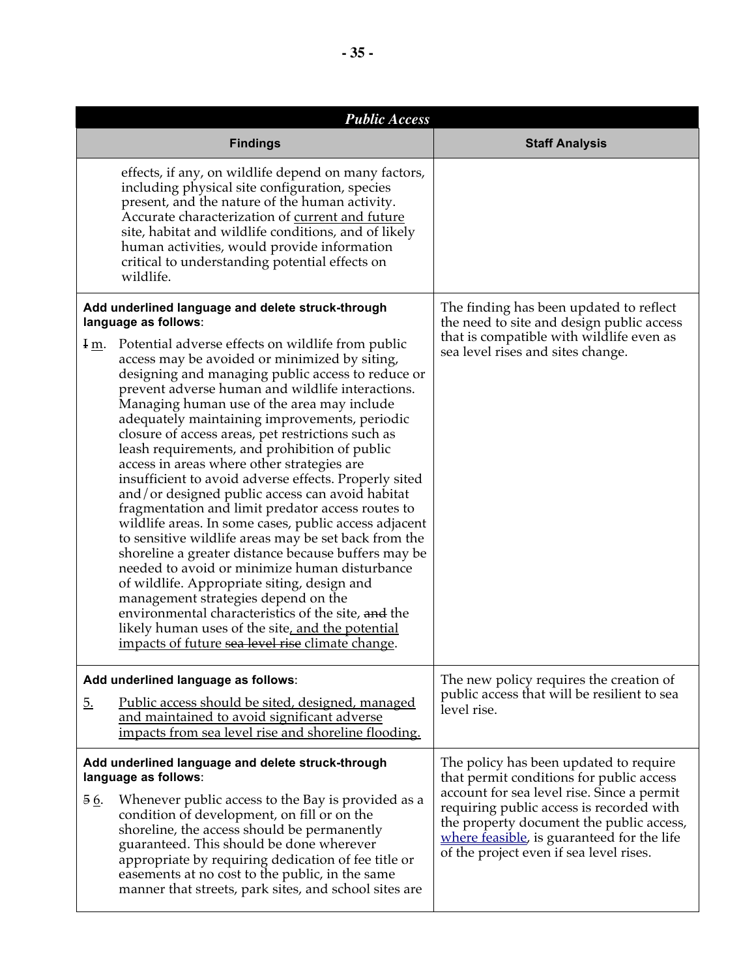|           | <b>Public Access</b>                                                                                                                                                                                                                                                                                                                                                                                                                                                                                                                                                                                                                                                                                                                                                                                                                                                                                                                                                                                                                                                                                         |                                                                                                                                                                                                                             |
|-----------|--------------------------------------------------------------------------------------------------------------------------------------------------------------------------------------------------------------------------------------------------------------------------------------------------------------------------------------------------------------------------------------------------------------------------------------------------------------------------------------------------------------------------------------------------------------------------------------------------------------------------------------------------------------------------------------------------------------------------------------------------------------------------------------------------------------------------------------------------------------------------------------------------------------------------------------------------------------------------------------------------------------------------------------------------------------------------------------------------------------|-----------------------------------------------------------------------------------------------------------------------------------------------------------------------------------------------------------------------------|
|           | <b>Findings</b>                                                                                                                                                                                                                                                                                                                                                                                                                                                                                                                                                                                                                                                                                                                                                                                                                                                                                                                                                                                                                                                                                              | <b>Staff Analysis</b>                                                                                                                                                                                                       |
|           | effects, if any, on wildlife depend on many factors,<br>including physical site configuration, species<br>present, and the nature of the human activity.<br>Accurate characterization of current and future<br>site, habitat and wildlife conditions, and of likely<br>human activities, would provide information<br>critical to understanding potential effects on<br>wildlife.                                                                                                                                                                                                                                                                                                                                                                                                                                                                                                                                                                                                                                                                                                                            |                                                                                                                                                                                                                             |
|           | Add underlined language and delete struck-through<br>language as follows:                                                                                                                                                                                                                                                                                                                                                                                                                                                                                                                                                                                                                                                                                                                                                                                                                                                                                                                                                                                                                                    | The finding has been updated to reflect<br>the need to site and design public access                                                                                                                                        |
| $I_{m}$ . | Potential adverse effects on wildlife from public<br>access may be avoided or minimized by siting,<br>designing and managing public access to reduce or<br>prevent adverse human and wildlife interactions.<br>Managing human use of the area may include<br>adequately maintaining improvements, periodic<br>closure of access areas, pet restrictions such as<br>leash requirements, and prohibition of public<br>access in areas where other strategies are<br>insufficient to avoid adverse effects. Properly sited<br>and/or designed public access can avoid habitat<br>fragmentation and limit predator access routes to<br>wildlife areas. In some cases, public access adjacent<br>to sensitive wildlife areas may be set back from the<br>shoreline a greater distance because buffers may be<br>needed to avoid or minimize human disturbance<br>of wildlife. Appropriate siting, design and<br>management strategies depend on the<br>environmental characteristics of the site, and the<br>likely human uses of the site, and the potential<br>impacts of future sea level rise climate change. | that is compatible with wildlife even as<br>sea level rises and sites change.                                                                                                                                               |
|           | Add underlined language as follows:                                                                                                                                                                                                                                                                                                                                                                                                                                                                                                                                                                                                                                                                                                                                                                                                                                                                                                                                                                                                                                                                          | The new policy requires the creation of                                                                                                                                                                                     |
| <u>5.</u> | <u>Public access should be sited, designed, managed</u><br>and maintained to avoid significant adverse<br>impacts from sea level rise and shoreline flooding.                                                                                                                                                                                                                                                                                                                                                                                                                                                                                                                                                                                                                                                                                                                                                                                                                                                                                                                                                | public access that will be resilient to sea<br>level rise.                                                                                                                                                                  |
|           | Add underlined language and delete struck-through<br>language as follows:                                                                                                                                                                                                                                                                                                                                                                                                                                                                                                                                                                                                                                                                                                                                                                                                                                                                                                                                                                                                                                    | The policy has been updated to require<br>that permit conditions for public access                                                                                                                                          |
| 56.       | Whenever public access to the Bay is provided as a<br>condition of development, on fill or on the<br>shoreline, the access should be permanently<br>guaranteed. This should be done wherever<br>appropriate by requiring dedication of fee title or<br>easements at no cost to the public, in the same<br>manner that streets, park sites, and school sites are                                                                                                                                                                                                                                                                                                                                                                                                                                                                                                                                                                                                                                                                                                                                              | account for sea level rise. Since a permit<br>requiring public access is recorded with<br>the property document the public access,<br>where feasible, is guaranteed for the life<br>of the project even if sea level rises. |